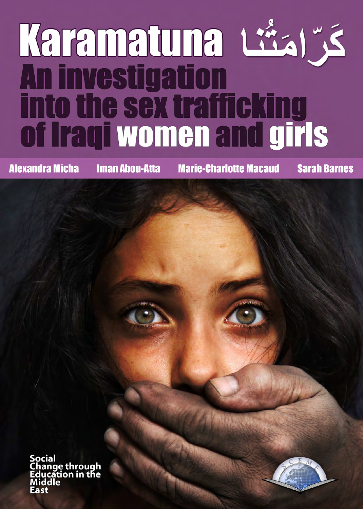# Karamatuna L\*aj". into the sex trafficking<br>of Iraqi women and girls

**Alexandra Micha** 

**Iman Abou-Atta** 

**Marie-Charlotte Macaud** 

**Sarah Barnes** 

ocial ange through<br>lucation in the

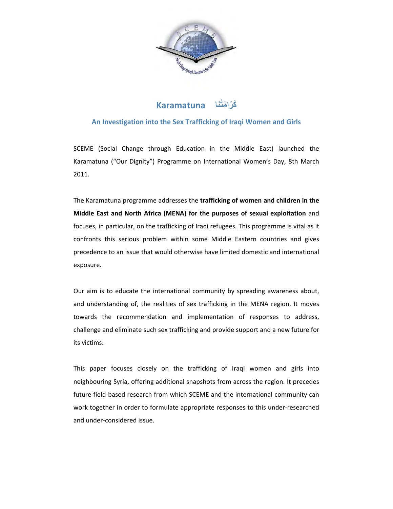

# **َكّر َ امُتنا Karamatuna**

# **An Investigation into the Sex Trafficking of Iraqi Women and Girls**

SCEME (Social Change through Education in the Middle East) launched the Karamatuna ("Our Dignity") Programme on International Women's Day, 8th March 2011.

The Karamatuna programme addresses the **trafficking of women and children in the Middle East and North Africa (MENA) for the purposes of sexual exploitation** and focuses, in particular, on the trafficking of Iraqi refugees. This programme is vital as it confronts this serious problem within some Middle Eastern countries and gives precedence to an issue that would otherwise have limited domestic and international exposure.

Our aim is to educate the international community by spreading awareness about, and understanding of, the realities of sex trafficking in the MENA region. It moves towards the recommendation and implementation of responses to address, challenge and eliminate such sex trafficking and provide support and a new future for its victims.

<span id="page-2-0"></span>This paper focuses closely on the trafficking of Iraqi women and girls into neighbouring Syria, offering additional snapshots from across the region. It precedes future field-based research from which SCEME and the international community can work together in order to formulate appropriate responses to this under-researched and under-considered issue.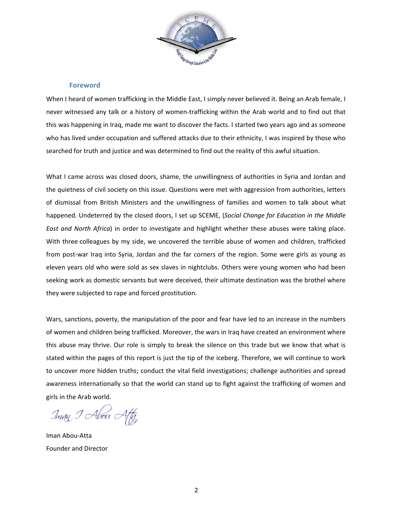

#### **Foreword**

When I heard of women trafficking in the Middle East, I simply never believed it. Being an Arab female, I never witnessed any talk or a history of women-trafficking within the Arab world and to find out that this was happening in Iraq, made me want to discover the facts. I started two years ago and as someone who has lived under occupation and suffered attacks due to their ethnicity, I was inspired by those who searched for truth and justice and was determined to find out the reality of this awful situation.

What I came across was closed doors, shame, the unwillingness of authorities in Syria and Jordan and the quietness of civil society on this issue. Questions were met with aggression from authorities, letters of dismissal from British Ministers and the unwillingness of families and women to talk about what happened. Undeterred by the closed doors, I set up SCEME, (*Social Change for Education in the Middle East and North Africa*) in order to investigate and highlight whether these abuses were taking place. With three colleagues by my side, we uncovered the terrible abuse of women and children, trafficked from post-war Iraq into Syria, Jordan and the far corners of the region. Some were girls as young as eleven years old who were sold as sex slaves in nightclubs. Others were young women who had been seeking work as domestic servants but were deceived, their ultimate destination was the brothel where they were subjected to rape and forced prostitution.

Wars, sanctions, poverty, the manipulation of the poor and fear have led to an increase in the numbers of women and children being trafficked. Moreover, the wars in Iraq have created an environment where this abuse may thrive. Our role is simply to break the silence on this trade but we know that what is stated within the pages of this report is just the tip of the iceberg. Therefore, we will continue to work to uncover more hidden truths; conduct the vital field investigations; challenge authorities and spread awareness internationally so that the world can stand up to fight against the trafficking of women and girls in the Arab world.

Iman I Abou Affy

Iman Abou-Atta Founder and Director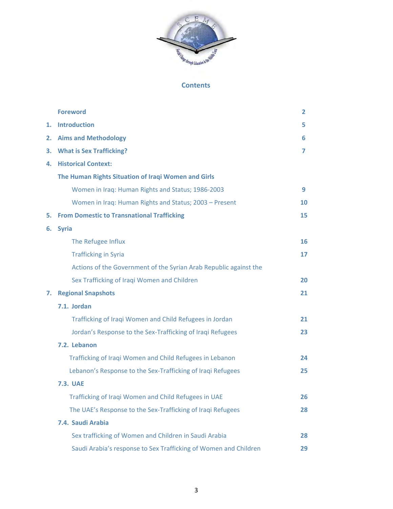

# **Contents**

|    | <b>Foreword</b>                                                   | $\overline{2}$ |
|----|-------------------------------------------------------------------|----------------|
| 1. | <b>Introduction</b>                                               | 5              |
| 2. | <b>Aims and Methodology</b>                                       | 6              |
| з. | <b>What is Sex Trafficking?</b>                                   | 7              |
| 4. | <b>Historical Context:</b>                                        |                |
|    | The Human Rights Situation of Iraqi Women and Girls               |                |
|    | Women in Iraq: Human Rights and Status; 1986-2003                 | 9              |
|    | Women in Iraq: Human Rights and Status; 2003 - Present            | 10             |
| 5. | <b>From Domestic to Transnational Trafficking</b>                 | 15             |
| 6. | <b>Syria</b>                                                      |                |
|    | The Refugee Influx                                                | 16             |
|    | <b>Trafficking in Syria</b>                                       | 17             |
|    | Actions of the Government of the Syrian Arab Republic against the |                |
|    | Sex Trafficking of Iraqi Women and Children                       | 20             |
| 7. | <b>Regional Snapshots</b>                                         | 21             |
|    | 7.1. Jordan                                                       |                |
|    | Trafficking of Iraqi Women and Child Refugees in Jordan           | 21             |
|    | Jordan's Response to the Sex-Trafficking of Iraqi Refugees        | 23             |
|    | 7.2. Lebanon                                                      |                |
|    | Trafficking of Iraqi Women and Child Refugees in Lebanon          | 24             |
|    | Lebanon's Response to the Sex-Trafficking of Iraqi Refugees       | 25             |
|    | <b>7.3. UAE</b>                                                   |                |
|    | Trafficking of Iraqi Women and Child Refugees in UAE              | 26             |
|    | The UAE's Response to the Sex-Trafficking of Iraqi Refugees       | 28             |
|    | 7.4. Saudi Arabia                                                 |                |
|    | Sex trafficking of Women and Children in Saudi Arabia             | 28             |
|    | Saudi Arabia's response to Sex Trafficking of Women and Children  | 29             |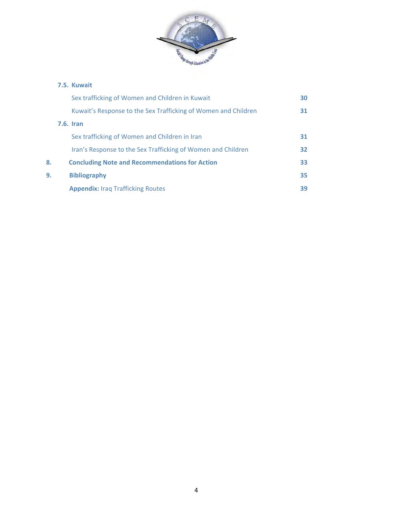

# **7.5. Kuwait**

|    | Sex trafficking of Women and Children in Kuwait                | 30              |
|----|----------------------------------------------------------------|-----------------|
|    | Kuwait's Response to the Sex Trafficking of Women and Children | 31              |
|    | <b>7.6. Iran</b>                                               |                 |
|    | Sex trafficking of Women and Children in Iran                  | 31              |
|    | Iran's Response to the Sex Trafficking of Women and Children   | 32 <sub>2</sub> |
| 8. | <b>Concluding Note and Recommendations for Action</b>          | 33              |
| 9. | <b>Bibliography</b>                                            | 35              |
|    | <b>Appendix: Iraq Trafficking Routes</b>                       | 39              |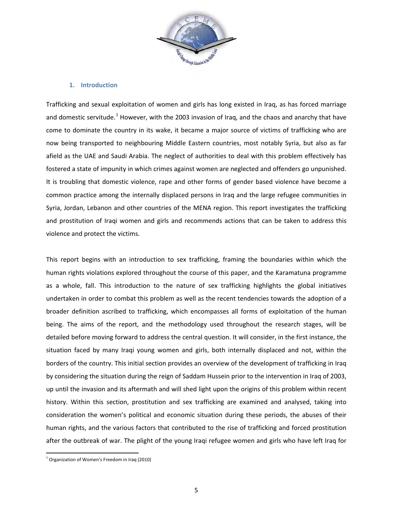

# **1. Introduction**

Trafficking and sexual exploitation of women and girls has long existed in Iraq, as has forced marriage and domestic servitude.<sup>[1](#page-2-0)</sup> However, with the 2003 invasion of Iraq, and the chaos and anarchy that have come to dominate the country in its wake, it became a major source of victims of trafficking who are now being transported to neighbouring Middle Eastern countries, most notably Syria, but also as far afield as the UAE and Saudi Arabia. The neglect of authorities to deal with this problem effectively has fostered a state of impunity in which crimes against women are neglected and offenders go unpunished. It is troubling that domestic violence, rape and other forms of gender based violence have become a common practice among the internally displaced persons in Iraq and the large refugee communities in Syria, Jordan, Lebanon and other countries of the MENA region. This report investigates the trafficking and prostitution of Iraqi women and girls and recommends actions that can be taken to address this violence and protect the victims.

This report begins with an introduction to sex trafficking, framing the boundaries within which the human rights violations explored throughout the course of this paper, and the Karamatuna programme as a whole, fall. This introduction to the nature of sex trafficking highlights the global initiatives undertaken in order to combat this problem as well as the recent tendencies towards the adoption of a broader definition ascribed to trafficking, which encompasses all forms of exploitation of the human being. The aims of the report, and the methodology used throughout the research stages, will be detailed before moving forward to address the central question. It will consider, in the first instance, the situation faced by many Iraqi young women and girls, both internally displaced and not, within the borders of the country. This initial section provides an overview of the development of trafficking in Iraq by considering the situation during the reign of Saddam Hussein prior to the intervention in Iraq of 2003, up until the invasion and its aftermath and will shed light upon the origins of this problem within recent history. Within this section, prostitution and sex trafficking are examined and analysed, taking into consideration the women's political and economic situation during these periods, the abuses of their human rights, and the various factors that contributed to the rise of trafficking and forced prostitution after the outbreak of war. The plight of the young Iraqi refugee women and girls who have left Iraq for

<span id="page-6-0"></span> $\frac{1}{1}$  Organization of Women's Freedom in Iraq (2010)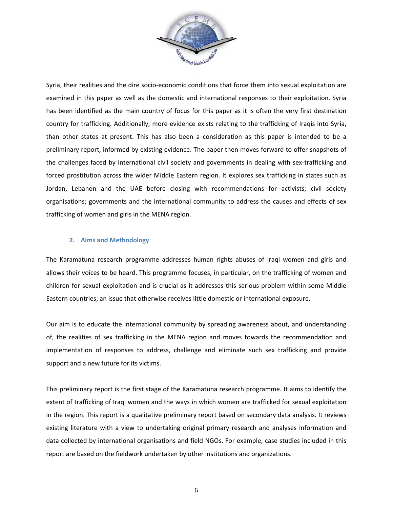

Syria, their realities and the dire socio-economic conditions that force them into sexual exploitation are examined in this paper as well as the domestic and international responses to their exploitation. Syria has been identified as the main country of focus for this paper as it is often the very first destination country for trafficking. Additionally, more evidence exists relating to the trafficking of Iraqis into Syria, than other states at present. This has also been a consideration as this paper is intended to be a preliminary report, informed by existing evidence. The paper then moves forward to offer snapshots of the challenges faced by international civil society and governments in dealing with sex-trafficking and forced prostitution across the wider Middle Eastern region. It explores sex trafficking in states such as Jordan, Lebanon and the UAE before closing with recommendations for activists; civil society organisations; governments and the international community to address the causes and effects of sex trafficking of women and girls in the MENA region.

# **2. Aims and Methodology**

The Karamatuna research programme addresses human rights abuses of Iraqi women and girls and allows their voices to be heard. This programme focuses, in particular, on the trafficking of women and children for sexual exploitation and is crucial as it addresses this serious problem within some Middle Eastern countries; an issue that otherwise receives little domestic or international exposure.

Our aim is to educate the international community by spreading awareness about, and understanding of, the realities of sex trafficking in the MENA region and moves towards the recommendation and implementation of responses to address, challenge and eliminate such sex trafficking and provide support and a new future for its victims.

This preliminary report is the first stage of the Karamatuna research programme. It aims to identify the extent of trafficking of Iraqi women and the ways in which women are trafficked for sexual exploitation in the region. This report is a qualitative preliminary report based on secondary data analysis. It reviews existing literature with a view to undertaking original primary research and analyses information and data collected by international organisations and field NGOs. For example, case studies included in this report are based on the fieldwork undertaken by other institutions and organizations.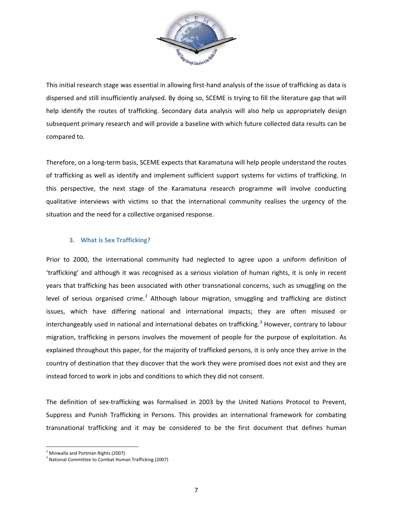

This initial research stage was essential in allowing first-hand analysis of the issue of trafficking as data is dispersed and still insufficiently analysed. By doing so, SCEME is trying to fill the literature gap that will help identify the routes of trafficking. Secondary data analysis will also help us appropriately design subsequent primary research and will provide a baseline with which future collected data results can be compared to.

Therefore, on a long-term basis, SCEME expects that Karamatuna will help people understand the routes of trafficking as well as identify and implement sufficient support systems for victims of trafficking. In this perspective, the next stage of the Karamatuna research programme will involve conducting qualitative interviews with victims so that the international community realises the urgency of the situation and the need for a collective organised response.

# **3. What is Sex Trafficking?**

Prior to 2000, the international community had neglected to agree upon a uniform definition of 'trafficking' and although it was recognised as a serious violation of human rights, it is only in recent years that trafficking has been associated with other transnational concerns, such as smuggling on the level of serious organised crime.<sup>[2](#page-6-0)</sup> Although labour migration, smuggling and trafficking are distinct issues, which have differing national and international impacts; they are often misused or interchangeably used in national and international debates on trafficking.<sup>[3](#page-8-0)</sup> However, contrary to labour migration, trafficking in persons involves the movement of people for the purpose of exploitation. As explained throughout this paper, for the majority of trafficked persons, it is only once they arrive in the country of destination that they discover that the work they were promised does not exist and they are instead forced to work in jobs and conditions to which they did not consent.

The definition of sex-trafficking was formalised in 2003 by the United Nations Protocol to Prevent, Suppress and Punish Trafficking in Persons. This provides an international framework for combating transnational trafficking and it may be considered to be the first document that defines human

<span id="page-8-1"></span> $^2$  Minwalla and Portman Rights (2007)

<span id="page-8-0"></span><sup>&</sup>lt;sup>3</sup> National Committee to Combat Human Trafficking (2007)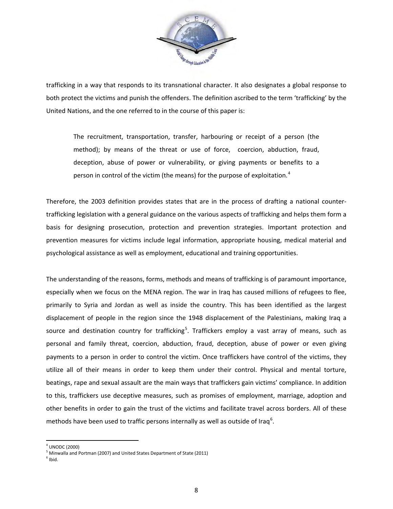

trafficking in a way that responds to its transnational character. It also designates a global response to both protect the victims and punish the offenders. The definition ascribed to the term 'trafficking' by the United Nations, and the one referred to in the course of this paper is:

The recruitment, transportation, transfer, harbouring or receipt of a person (the method); by means of the threat or use of force, coercion, abduction, fraud, deception, abuse of power or vulnerability, or giving payments or benefits to a person in control of the victim (the means) for the purpose of exploitation.<sup>[4](#page-8-1)</sup>

Therefore, the 2003 definition provides states that are in the process of drafting a national countertrafficking legislation with a general guidance on the various aspects of trafficking and helps them form a basis for designing prosecution, protection and prevention strategies. Important protection and prevention measures for victims include legal information, appropriate housing, medical material and psychological assistance as well as employment, educational and training opportunities.

The understanding of the reasons, forms, methods and means of trafficking is of paramount importance, especially when we focus on the MENA region. The war in Iraq has caused millions of refugees to flee, primarily to Syria and Jordan as well as inside the country. This has been identified as the largest displacement of people in the region since the 1948 displacement of the Palestinians, making Iraq a source and destination country for trafficking<sup>[5](#page-9-0)</sup>. Traffickers employ a vast array of means, such as personal and family threat, coercion, abduction, fraud, deception, abuse of power or even giving payments to a person in order to control the victim. Once traffickers have control of the victims, they utilize all of their means in order to keep them under their control. Physical and mental torture, beatings, rape and sexual assault are the main ways that traffickers gain victims' compliance. In addition to this, traffickers use deceptive measures, such as promises of employment, marriage, adoption and other benefits in order to gain the trust of the victims and facilitate travel across borders. All of these methods have been used to traffic persons internally as well as outside of Iraq<sup>[6](#page-9-1)</sup>.

<span id="page-9-2"></span> $4$  UNODC (2000)

<span id="page-9-0"></span><sup>5</sup> Minwalla and Portman (2007) and United States Department of State (2011)

<span id="page-9-1"></span> $<sup>6</sup>$  Ibid.</sup>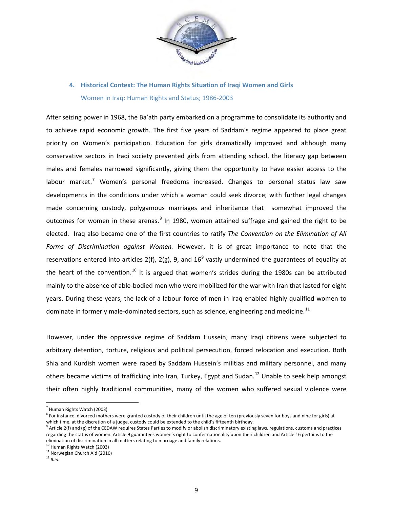

# **4. Historical Context: The Human Rights Situation of Iraqi Women and Girls** Women in Iraq: Human Rights and Status; 1986-2003

After seizing power in 1968, the Ba'ath party embarked on a programme to consolidate its authority and to achieve rapid economic growth. The first five years of Saddam's regime appeared to place great priority on Women's participation. Education for girls dramatically improved and although many conservative sectors in Iraqi society prevented girls from attending school, the literacy gap between males and females narrowed significantly, giving them the opportunity to have easier access to the labour market.<sup>[7](#page-9-2)</sup> Women's personal freedoms increased. Changes to personal status law saw developments in the conditions under which a woman could seek divorce; with further legal changes made concerning custody, polygamous marriages and inheritance that somewhat improved the outcomes for women in these arenas.<sup>[8](#page-10-0)</sup> In 1980, women attained suffrage and gained the right to be elected. Iraq also became one of the first countries to ratify *The Convention on the Elimination of All Forms of Discrimination against Women.* However, it is of great importance to note that the reservations entered into articles 2(f), 2(g), [9](#page-10-1), and  $16^9$  vastly undermined the guarantees of equality at the heart of the convention.<sup>[10](#page-10-2)</sup> It is argued that women's strides during the 1980s can be attributed mainly to the absence of able-bodied men who were mobilized for the war with Iran that lasted for eight years. During these years, the lack of a labour force of men in Iraq enabled highly qualified women to dominate in formerly male-dominated sectors, such as science, engineering and medicine.<sup>11</sup>

However, under the oppressive regime of Saddam Hussein, many Iraqi citizens were subjected to arbitrary detention, torture, religious and political persecution, forced relocation and execution. Both Shia and Kurdish women were raped by Saddam Hussein's militias and military personnel, and many others became victims of trafficking into Iran, Turkey, Egypt and Sudan.<sup>[12](#page-10-4)</sup> Unable to seek help amongst their often highly traditional communities, many of the women who suffered sexual violence were

<sup>&</sup>lt;sup>7</sup> Human Rights Watch (2003)

<span id="page-10-0"></span> $8$  For instance, divorced mothers were granted custody of their children until the age of ten (previously seven for boys and nine for girls) at which time, at the discretion of a judge, custody could be extended to the child's fifteenth birthday.<br><sup>9</sup> Article 2(f) and (g) of the CEDAW requires States Parties to modify or abolish discriminatory existing laws, regula

<span id="page-10-5"></span><span id="page-10-1"></span>regarding the status of women. Article 9 guarantees women's right to confer nationality upon their children and Article 16 pertains to the elimination of discrimination in all matters relating to marriage and family relations.

<span id="page-10-2"></span> $10$  Human Rights Watch (2003)<br> $11$  Norwegian Church Aid (2010)

<span id="page-10-4"></span><span id="page-10-3"></span><sup>12</sup> *Ibid.*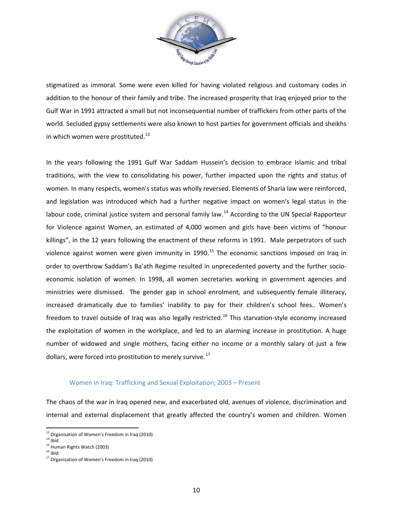

stigmatized as immoral. Some were even killed for having violated religious and customary codes in addition to the honour of their family and tribe. The increased prosperity that Iraq enjoyed prior to the Gulf War in 1991 attracted a small but not inconsequential number of traffickers from other parts of the world. Secluded gypsy settlements were also known to host parties for government officials and sheikhs in which women were prostituted. $^{13}$ 

In the years following the 1991 Gulf War Saddam Hussein's decision to embrace Islamic and tribal traditions, with the view to consolidating his power, further impacted upon the rights and status of women. In many respects, women's status was wholly reversed. Elements of Sharia law were reinforced, and legislation was introduced which had a further negative impact on women's legal status in the labour code, criminal justice system and personal family law.<sup>[14](#page-11-0)</sup> According to the UN Special Rapporteur for Violence against Women, an estimated of 4,000 women and girls have been victims of "honour killings", in the 12 years following the enactment of these reforms in 1991. Male perpetrators of such violence against women were given immunity in 1990.<sup>[15](#page-11-1)</sup> The economic sanctions imposed on Iraq in order to overthrow Saddam's Ba'ath Regime resulted in unprecedented poverty and the further socioeconomic isolation of women. In 1998, all women secretaries working in government agencies and ministries were dismissed. The gender gap in school enrolment, and subsequently female illiteracy, increased dramatically due to families' inability to pay for their children's school fees.. Women's freedom to travel outside of Iraq was also legally restricted.<sup>[16](#page-11-2)</sup> This starvation-style economy increased the exploitation of women in the workplace, and led to an alarming increase in prostitution. A huge number of widowed and single mothers, facing either no income or a monthly salary of just a few dollars, were forced into prostitution to merely survive.<sup>[17](#page-11-3)</sup>

#### Women in Iraq: Trafficking and Sexual Exploitation; 2003 – Present

<span id="page-11-4"></span>The chaos of the war in Iraq opened new, and exacerbated old, avenues of violence, discrimination and internal and external displacement that greatly affected the country's women and children. Women

<sup>13&</sup>lt;br><sup>13</sup> Organisation of Women's Freedom in Iraq (2010)

 $14$  *Ibid.* 

<span id="page-11-2"></span><span id="page-11-1"></span><span id="page-11-0"></span><sup>15</sup> Human Rights Watch (2003) 16 *Ibid.*

<span id="page-11-3"></span><sup>&</sup>lt;sup>17</sup> Organization of Women's Freedom in Iraq (2010)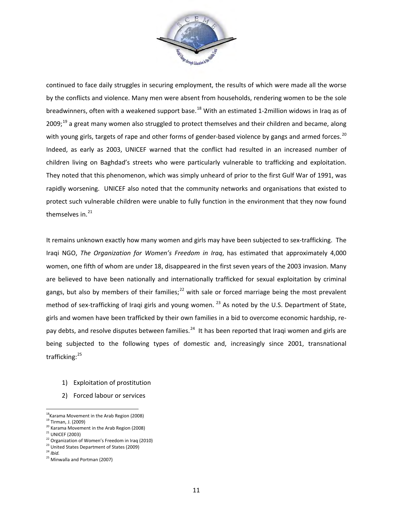

continued to face daily struggles in securing employment, the results of which were made all the worse by the conflicts and violence. Many men were absent from households, rendering women to be the sole breadwinners, often with a weakened support base.<sup>[18](#page-11-4)</sup> With an estimated 1-2million widows in Iraq as of 2009;<sup>[19](#page-12-0)</sup> a great many women also struggled to protect themselves and their children and became, along with young girls, targets of rape and other forms of gender-based violence by gangs and armed forces.<sup>[20](#page-12-1)</sup> Indeed, as early as 2003, UNICEF warned that the conflict had resulted in an increased number of children living on Baghdad's streets who were particularly vulnerable to trafficking and exploitation. They noted that this phenomenon, which was simply unheard of prior to the first Gulf War of 1991, was rapidly worsening. UNICEF also noted that the community networks and organisations that existed to protect such vulnerable children were unable to fully function in the environment that they now found themselves in.<sup>[21](#page-12-2)</sup>

It remains unknown exactly how many women and girls may have been subjected to sex-trafficking. The Iraqi NGO, *The Organization for Women's Freedom in Iraq*, has estimated that approximately 4,000 women, one fifth of whom are under 18, disappeared in the first seven years of the 2003 invasion. Many are believed to have been nationally and internationally trafficked for sexual exploitation by criminal gangs, but also by members of their families;<sup>[22](#page-12-3)</sup> with sale or forced marriage being the most prevalent method of sex-trafficking of Iraqi girls and young women.  $^{23}$  $^{23}$  $^{23}$  As noted by the U.S. Department of State, girls and women have been trafficked by their own families in a bid to overcome economic hardship, repay debts, and resolve disputes between families.<sup>24</sup> It has been reported that Iraqi women and girls are being subjected to the following types of domestic and, increasingly since 2001, transnational trafficking:<sup>[25](#page-12-6)</sup>

- 1) Exploitation of prostitution
- 2) Forced labour or services

 $\frac{18}{18}$ Karama Movement in the Arab Region (2008)

<span id="page-12-0"></span><sup>&</sup>lt;sup>19</sup> Tirman, J. (2009)<br><sup>20</sup> Karama Movement in the Arab Region (2008)

<span id="page-12-2"></span><span id="page-12-1"></span> $21$  UNICEF (2003)

<sup>&</sup>lt;sup>22</sup> Organization of Women's Freedom in Iraq (2010)

<span id="page-12-4"></span><span id="page-12-3"></span><sup>&</sup>lt;sup>23</sup> United States Department of States (2009)<sup>24</sup> *Ibid.* 

<span id="page-12-6"></span><span id="page-12-5"></span><sup>&</sup>lt;sup>25</sup> Minwalla and Portman (2007)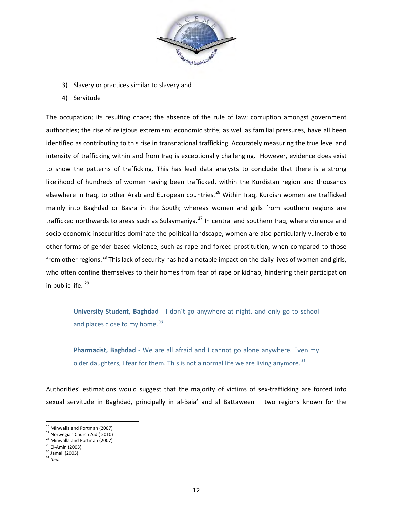

- 3) Slavery or practices similar to slavery and
- 4) Servitude

The occupation; its resulting chaos; the absence of the rule of law; corruption amongst government authorities; the rise of religious extremism; economic strife; as well as familial pressures, have all been identified as contributing to this rise in transnational trafficking. Accurately measuring the true level and intensity of trafficking within and from Iraq is exceptionally challenging. However, evidence does exist to show the patterns of trafficking. This has lead data analysts to conclude that there is a strong likelihood of hundreds of women having been trafficked, within the Kurdistan region and thousands elsewhere in Iraq, to other Arab and European countries.<sup>[26](#page-12-1)</sup> Within Iraq, Kurdish women are trafficked mainly into Baghdad or Basra in the South; whereas women and girls from southern regions are trafficked northwards to areas such as Sulaymaniya.<sup>[27](#page-13-0)</sup> In central and southern Iraq, where violence and socio-economic insecurities dominate the political landscape, women are also particularly vulnerable to other forms of gender-based violence, such as rape and forced prostitution, when compared to those from other regions.<sup>[28](#page-13-1)</sup> This lack of security has had a notable impact on the daily lives of women and girls, who often confine themselves to their homes from fear of rape or kidnap, hindering their participation in public life.<sup>[29](#page-13-2)</sup>

**University Student, Baghdad** - I don't go anywhere at night, and only go to school and places close to my home.*[30](#page-13-3)*

**Pharmacist, Baghdad** *-* We are all afraid and I cannot go alone anywhere. Even my older daughters, I fear for them. This is not a normal life we are living anymore.*[31](#page-13-4)*

Authorities' estimations would suggest that the majority of victims of sex-trafficking are forced into sexual servitude in Baghdad, principally in al-Baia' and al Battaween – two regions known for the

<span id="page-13-5"></span> $^{26}$  Minwalla and Portman (2007)

<span id="page-13-0"></span><sup>&</sup>lt;sup>27</sup> Norwegian Church Aid (2010)

<span id="page-13-2"></span><span id="page-13-1"></span> $^{28}$  Minwalla and Portman (2007)<br> $^{29}$  El-Amin (2003)

 $30$  Jamail (2005)

<span id="page-13-4"></span><span id="page-13-3"></span><sup>31</sup> *Ibid.*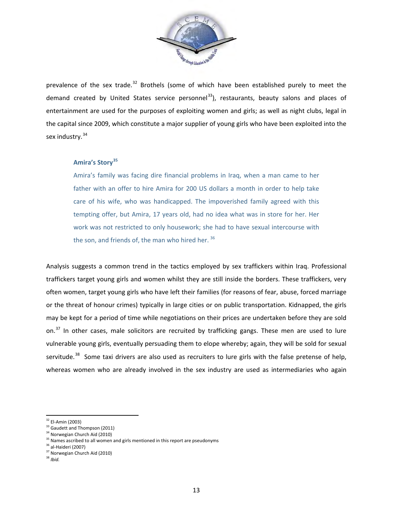

prevalence of the sex trade. $32$  Brothels (some of which have been established purely to meet the demand created by United States service personnel<sup>[33](#page-14-0)</sup>), restaurants, beauty salons and places of entertainment are used for the purposes of exploiting women and girls; as well as night clubs, legal in the capital since 2009, which constitute a major supplier of young girls who have been exploited into the sex industry.<sup>[34](#page-14-1)</sup>

# **Amira's Story[35](#page-14-2)**

Amira's family was facing dire financial problems in Iraq, when a man came to her father with an offer to hire Amira for 200 US dollars a month in order to help take care of his wife, who was handicapped. The impoverished family agreed with this tempting offer, but Amira, 17 years old, had no idea what was in store for her. Her work was not restricted to only housework; she had to have sexual intercourse with the son, and friends of, the man who hired her.<sup>[36](#page-14-3)</sup>

Analysis suggests a common trend in the tactics employed by sex traffickers within Iraq. Professional traffickers target young girls and women whilst they are still inside the borders. These traffickers, very often women, target young girls who have left their families (for reasons of fear, abuse, forced marriage or the threat of honour crimes) typically in large cities or on public transportation. Kidnapped, the girls may be kept for a period of time while negotiations on their prices are undertaken before they are sold on.<sup>[37](#page-14-4)</sup> In other cases, male solicitors are recruited by trafficking gangs. These men are used to lure vulnerable young girls, eventually persuading them to elope whereby; again, they will be sold for sexual servitude.<sup>[38](#page-14-5)</sup> Some taxi drivers are also used as recruiters to lure girls with the false pretense of help, whereas women who are already involved in the sex industry are used as intermediaries who again

<span id="page-14-6"></span> $32$  El-Amin (2003)

<span id="page-14-0"></span><sup>&</sup>lt;sup>33</sup> Gaudett and Thompson (2011)

<sup>&</sup>lt;sup>34</sup> Norwegian Church Aid (2010)

<span id="page-14-3"></span><span id="page-14-2"></span><span id="page-14-1"></span><sup>&</sup>lt;sup>35</sup> Names ascribed to all women and girls mentioned in this report are pseudonyms <sup>36</sup> al-Haideri (2007)<br><sup>36</sup> al-Haideri (2007)<br><sup>37</sup> Norwegian Church Aid (2010)

<span id="page-14-5"></span><span id="page-14-4"></span><sup>38</sup> *Ibid.*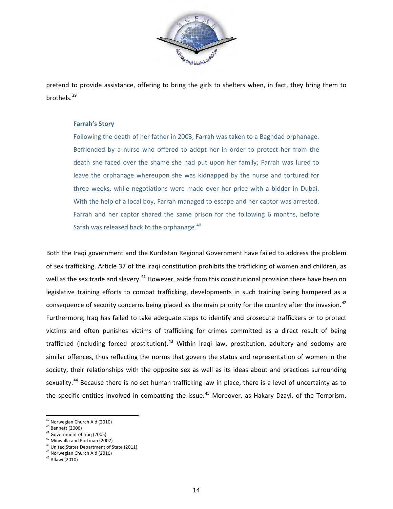

pretend to provide assistance, offering to bring the girls to shelters when, in fact, they bring them to brothels.[39](#page-14-6)

#### **Farrah's Story**

Following the death of her father in 2003, Farrah was taken to a Baghdad orphanage. Befriended by a nurse who offered to adopt her in order to protect her from the death she faced over the shame she had put upon her family; Farrah was lured to leave the orphanage whereupon she was kidnapped by the nurse and tortured for three weeks, while negotiations were made over her price with a bidder in Dubai. With the help of a local boy, Farrah managed to escape and her captor was arrested. Farrah and her captor shared the same prison for the following 6 months, before Safah was released back to the orphanage.<sup>[40](#page-15-0)</sup>

Both the Iraqi government and the Kurdistan Regional Government have failed to address the problem of sex trafficking. Article 37 of the Iraqi constitution prohibits the trafficking of women and children, as well as the sex trade and slavery.<sup>[41](#page-15-1)</sup> However, aside from this constitutional provision there have been no legislative training efforts to combat trafficking, developments in such training being hampered as a consequence of security concerns being placed as the main priority for the country after the invasion.<sup>[42](#page-15-2)</sup> Furthermore, Iraq has failed to take adequate steps to identify and prosecute traffickers or to protect victims and often punishes victims of trafficking for crimes committed as a direct result of being trafficked (including forced prostitution).<sup>[43](#page-15-3)</sup> Within Iraqi law, prostitution, adultery and sodomy are similar offences, thus reflecting the norms that govern the status and representation of women in the society, their relationships with the opposite sex as well as its ideas about and practices surrounding sexuality.<sup>[44](#page-15-4)</sup> Because there is no set human trafficking law in place, there is a level of uncertainty as to the specific entities involved in combatting the issue.<sup>45</sup> Moreover, as Hakary Dzayi, of the Terrorism,

 $\frac{1}{2}$ <sup>39</sup> Norwegian Church Aid (2010)<br><sup>40</sup> Bennett (2006)

<span id="page-15-1"></span><span id="page-15-0"></span> $41$  Government of Iraq (2005)<br> $42$  Minwalla and Portman (2007)

<span id="page-15-3"></span><span id="page-15-2"></span><sup>&</sup>lt;sup>43</sup> United States Department of State (2011)<br><sup>44</sup> Norwegian Church Aid (2010)

<span id="page-15-5"></span><span id="page-15-4"></span><sup>45</sup> Allawi (2010)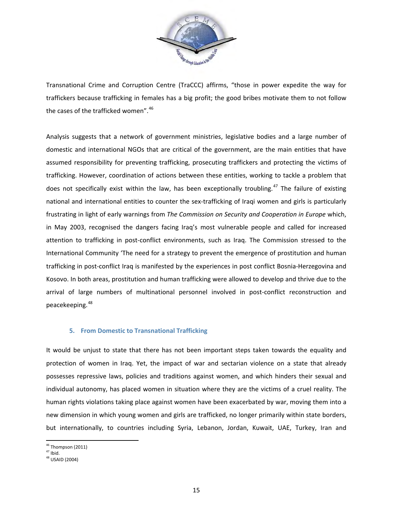

Transnational Crime and Corruption Centre (TraCCC) affirms, "those in power expedite the way for traffickers because trafficking in females has a big profit; the good bribes motivate them to not follow the cases of the trafficked women".<sup>[46](#page-15-3)</sup>

Analysis suggests that a network of government ministries, legislative bodies and a large number of domestic and international NGOs that are critical of the government, are the main entities that have assumed responsibility for preventing trafficking, prosecuting traffickers and protecting the victims of trafficking. However, coordination of actions between these entities, working to tackle a problem that does not specifically exist within the law, has been exceptionally troubling.<sup>[47](#page-16-0)</sup> The failure of existing national and international entities to counter the sex-trafficking of Iraqi women and girls is particularly frustrating in light of early warnings from *The Commission on Security and Cooperation in Europe* which, in May 2003, recognised the dangers facing Iraq's most vulnerable people and called for increased attention to trafficking in post-conflict environments, such as Iraq. The Commission stressed to the International Community 'The need for a strategy to prevent the emergence of prostitution and human trafficking in post-conflict Iraq is manifested by the experiences in post conflict Bosnia-Herzegovina and Kosovo. In both areas, prostitution and human trafficking were allowed to develop and thrive due to the arrival of large numbers of multinational personnel involved in post-conflict reconstruction and peacekeeping.[48](#page-16-1)

# **5. From Domestic to Transnational Trafficking**

It would be unjust to state that there has not been important steps taken towards the equality and protection of women in Iraq. Yet, the impact of war and sectarian violence on a state that already possesses repressive laws, policies and traditions against women, and which hinders their sexual and individual autonomy, has placed women in situation where they are the victims of a cruel reality. The human rights violations taking place against women have been exacerbated by war, moving them into a new dimension in which young women and girls are trafficked, no longer primarily within state borders, but internationally, to countries including Syria, Lebanon, Jordan, Kuwait, UAE, Turkey, Iran and

<span id="page-16-2"></span> $\overline{a}$ <sup>46</sup> Thompson (2011)<br><sup>47</sup> Ibid.

<span id="page-16-1"></span><span id="page-16-0"></span> $^{47}$  Ibid.<br> $^{48}$  USAID (2004)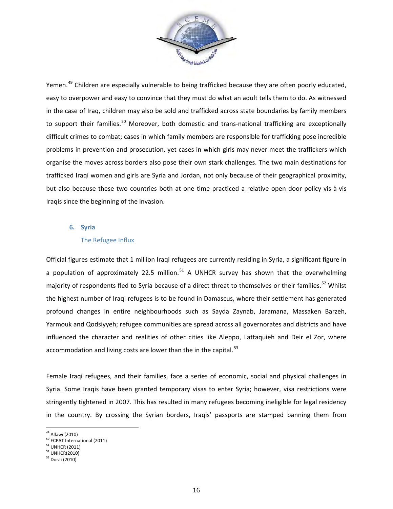

Yemen.<sup>[49](#page-16-2)</sup> Children are especially vulnerable to being trafficked because they are often poorly educated, easy to overpower and easy to convince that they must do what an adult tells them to do. As witnessed in the case of Iraq, children may also be sold and trafficked across state boundaries by family members to support their families.<sup>[50](#page-17-0)</sup> Moreover, both domestic and trans-national trafficking are exceptionally difficult crimes to combat; cases in which family members are responsible for trafficking pose incredible problems in prevention and prosecution, yet cases in which girls may never meet the traffickers which organise the moves across borders also pose their own stark challenges. The two main destinations for trafficked Iraqi women and girls are Syria and Jordan, not only because of their geographical proximity, but also because these two countries both at one time practiced a relative open door policy vis-à-vis Iraqis since the beginning of the invasion.

# **6. Syria**

# The Refugee Influx

Official figures estimate that 1 million Iraqi refugees are currently residing in Syria, a significant figure in a population of approximately 22.5 million.<sup>[51](#page-17-1)</sup> A UNHCR survey has shown that the overwhelming majority of respondents fled to Syria because of a direct threat to themselves or their families.<sup>[52](#page-17-2)</sup> Whilst the highest number of Iraqi refugees is to be found in Damascus, where their settlement has generated profound changes in entire neighbourhoods such as Sayda Zaynab, Jaramana, Massaken Barzeh, Yarmouk and Qodsiyyeh; refugee communities are spread across all governorates and districts and have influenced the character and realities of other cities like Aleppo, Lattaquieh and Deir el Zor, where accommodation and living costs are lower than the in the capital. $53$ 

Female Iraqi refugees, and their families, face a series of economic, social and physical challenges in Syria. Some Iraqis have been granted temporary visas to enter Syria; however, visa restrictions were stringently tightened in 2007. This has resulted in many refugees becoming ineligible for legal residency in the country. By crossing the Syrian borders, Iraqis' passports are stamped banning them from

<sup>&</sup>lt;sup>49</sup> Allawi (2010)

<span id="page-17-4"></span><span id="page-17-0"></span> $^{50}$  ECPAT International (2011)<br> $^{51}$  UNHCR (2011)

<span id="page-17-2"></span><span id="page-17-1"></span> $52$  UNHCR(2010)

<span id="page-17-3"></span><sup>53</sup> Dorai (2010)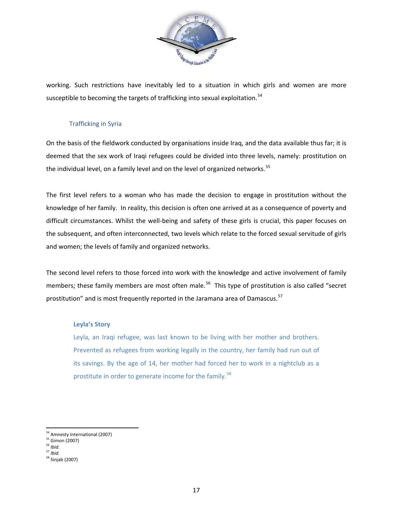

working. Such restrictions have inevitably led to a situation in which girls and women are more susceptible to becoming the targets of trafficking into sexual exploitation.<sup>54</sup>

# Trafficking in Syria

On the basis of the fieldwork conducted by organisations inside Iraq, and the data available thus far; it is deemed that the sex work of Iraqi refugees could be divided into three levels, namely: prostitution on the individual level, on a family level and on the level of organized networks.<sup>[55](#page-18-0)</sup>

The first level refers to a woman who has made the decision to engage in prostitution without the knowledge of her family. In reality, this decision is often one arrived at as a consequence of poverty and difficult circumstances. Whilst the well-being and safety of these girls is crucial, this paper focuses on the subsequent, and often interconnected, two levels which relate to the forced sexual servitude of girls and women; the levels of family and organized networks.

The second level refers to those forced into work with the knowledge and active involvement of family members; these family members are most often male.<sup>56</sup> This type of prostitution is also called "secret prostitution" and is most frequently reported in the Jaramana area of Damascus.<sup>[57](#page-18-2)</sup>

# **Leyla's Story**

Leyla, an Iraqi refugee, was last known to be living with her mother and brothers. Prevented as refugees from working legally in the country, her family had run out of its savings. By the age of 14, her mother had forced her to work in a nightclub as a prostitute in order to generate income for the family.<sup>[58](#page-18-3)</sup>

<span id="page-18-4"></span><sup>&</sup>lt;sup>54</sup> Amnesty International (2007)

<span id="page-18-0"></span><sup>55</sup> Gimon (2007) 56 *Ibid.*

<span id="page-18-3"></span><span id="page-18-2"></span><span id="page-18-1"></span><sup>57</sup> *Ibid.*

<sup>58</sup> Sinjab (2007)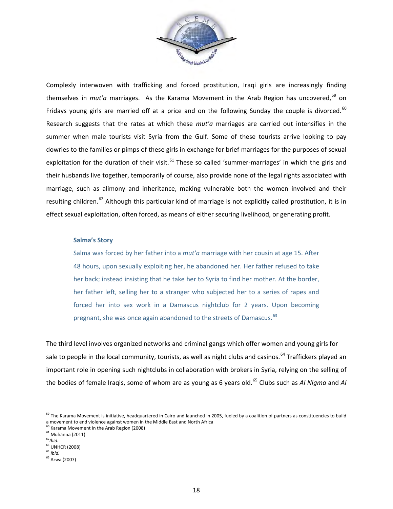

Complexly interwoven with trafficking and forced prostitution, Iraqi girls are increasingly finding themselves in *mut'a* marriages. As the Karama Movement in the Arab Region has uncovered.<sup>[59](#page-18-4)</sup> on Fridays young girls are married off at a price and on the following Sunday the couple is divorced.<sup>[60](#page-19-0)</sup> Research suggests that the rates at which these *mut'a* marriages are carried out intensifies in the summer when male tourists visit Syria from the Gulf. Some of these tourists arrive looking to pay dowries to the families or pimps of these girls in exchange for brief marriages for the purposes of sexual exploitation for the duration of their visit.<sup>[61](#page-19-1)</sup> These so called 'summer-marriages' in which the girls and their husbands live together, temporarily of course, also provide none of the legal rights associated with marriage, such as alimony and inheritance, making vulnerable both the women involved and their resulting children.<sup>[62](#page-19-2)</sup> Although this particular kind of marriage is not explicitly called prostitution, it is in effect sexual exploitation, often forced, as means of either securing livelihood, or generating profit.

#### **Salma's Story**

Salma was forced by her father into a *mut'a* marriage with her cousin at age 15. After 48 hours, upon sexually exploiting her, he abandoned her. Her father refused to take her back; instead insisting that he take her to Syria to find her mother. At the border, her father left, selling her to a stranger who subjected her to a series of rapes and forced her into sex work in a Damascus nightclub for 2 years. Upon becoming pregnant, she was once again abandoned to the streets of Damascus. <sup>[63](#page-19-3)</sup>

The third level involves organized networks and criminal gangs which offer women and young girls for sale to people in the local community, tourists, as well as night clubs and casinos.<sup>[64](#page-19-4)</sup> Traffickers played an important role in opening such nightclubs in collaboration with brokers in Syria, relying on the selling of the bodies of female Iraqis, some of whom are as young as 6 years old. [65](#page-19-5) Clubs such as *Al Nigma* and *Al* 

 <sup>59</sup> The Karama Movement is initiative, headquartered in Cairo and launched in 2005, fueled by a coalition of partners as constituencies to build a movement to end violence against women in the Middle East and North Africa

<sup>&</sup>lt;sup>60</sup> Karama Movement in the Arab Region (2008)

<span id="page-19-1"></span><span id="page-19-0"></span> $61$  Muhanna (2011)<br> $62$ *lbid.* 

<span id="page-19-4"></span><span id="page-19-3"></span><span id="page-19-2"></span><sup>62</sup>*Ibid*. 63 UNHCR (2008) <sup>64</sup> *Ibid.*

<span id="page-19-5"></span><sup>65</sup> Arwa (2007)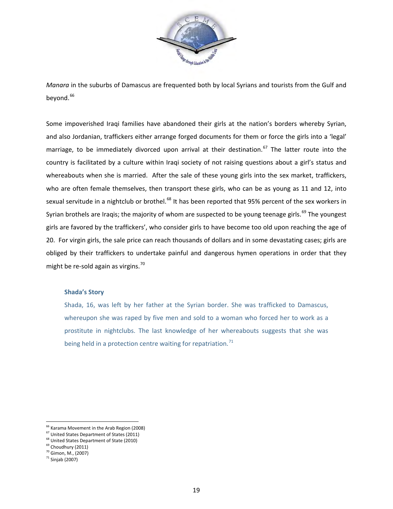

*Manara* in the suburbs of Damascus are frequented both by local Syrians and tourists from the Gulf and beyond.<sup>66</sup>

Some impoverished Iraqi families have abandoned their girls at the nation's borders whereby Syrian, and also Jordanian, traffickers either arrange forged documents for them or force the girls into a 'legal' marriage, to be immediately divorced upon arrival at their destination.<sup>[67](#page-20-0)</sup> The latter route into the country is facilitated by a culture within Iraqi society of not raising questions about a girl's status and whereabouts when she is married. After the sale of these young girls into the sex market, traffickers, who are often female themselves, then transport these girls, who can be as young as 11 and 12, into sexual servitude in a nightclub or brothel.<sup>[68](#page-20-1)</sup> It has been reported that 95% percent of the sex workers in Syrian brothels are Iraqis; the majority of whom are suspected to be young teenage girls.<sup>[69](#page-20-2)</sup> The youngest girls are favored by the traffickers', who consider girls to have become too old upon reaching the age of 20. For virgin girls, the sale price can reach thousands of dollars and in some devastating cases; girls are obliged by their traffickers to undertake painful and dangerous hymen operations in order that they might be re-sold again as virgins.<sup>70</sup>

#### **Shada's Story**

Shada, 16, was left by her father at the Syrian border. She was trafficked to Damascus, whereupon she was raped by five men and sold to a woman who forced her to work as a prostitute in nightclubs. The last knowledge of her whereabouts suggests that she was being held in a protection centre waiting for repatriation.<sup>[71](#page-20-4)</sup>

<sup>&</sup>lt;u><sup>66</sup> Karama Movement in the Arab Region (2008)</u>

<span id="page-20-0"></span> $67$  United States Department of States (2011)<br> $68$  United States Department of State (2010)

<span id="page-20-2"></span><span id="page-20-1"></span> $^{69}$  Choudhury (2011)<br> $^{70}$  Gimon, M., (2007)

<span id="page-20-4"></span><span id="page-20-3"></span> $71$  Sinjab (2007)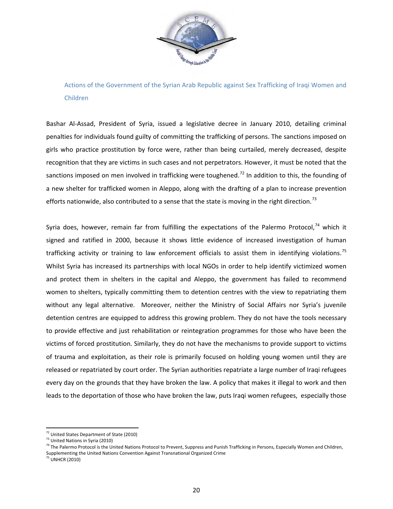

Actions of the Government of the Syrian Arab Republic against Sex Trafficking of Iraqi Women and Children

Bashar Al-Assad, President of Syria, issued a legislative decree in January 2010, detailing criminal penalties for individuals found guilty of committing the trafficking of persons. The sanctions imposed on girls who practice prostitution by force were, rather than being curtailed, merely decreased, despite recognition that they are victims in such cases and not perpetrators. However, it must be noted that the sanctions imposed on men involved in trafficking were toughened.<sup>[72](#page-20-0)</sup> In addition to this, the founding of a new shelter for trafficked women in Aleppo, along with the drafting of a plan to increase prevention efforts nationwide, also contributed to a sense that the state is moving in the right direction.<sup>[73](#page-21-0)</sup>

Syria does, however, remain far from fulfilling the expectations of the Palermo Protocol, $74$  which it signed and ratified in 2000, because it shows little evidence of increased investigation of human trafficking activity or training to law enforcement officials to assist them in identifying violations.<sup>[75](#page-21-2)</sup> Whilst Syria has increased its partnerships with local NGOs in order to help identify victimized women and protect them in shelters in the capital and Aleppo, the government has failed to recommend women to shelters, typically committing them to detention centres with the view to repatriating them without any legal alternative. Moreover, neither the Ministry of Social Affairs nor Syria's juvenile detention centres are equipped to address this growing problem. They do not have the tools necessary to provide effective and just rehabilitation or reintegration programmes for those who have been the victims of forced prostitution. Similarly, they do not have the mechanisms to provide support to victims of trauma and exploitation, as their role is primarily focused on holding young women until they are released or repatriated by court order. The Syrian authorities repatriate a large number of Iraqi refugees every day on the grounds that they have broken the law. A policy that makes it illegal to work and then leads to the deportation of those who have broken the law, puts Iraqi women refugees, especially those

 $\overline{a}$ <sup>72</sup> United States Department of State (2010)

<span id="page-21-3"></span><sup>73</sup> United Nations in Syria (2010)

<span id="page-21-1"></span><span id="page-21-0"></span><sup>&</sup>lt;sup>74</sup> The Palermo Protocol is the United Nations Protocol to Prevent, Suppress and Punish Trafficking in Persons, Especially Women and Children, Supplementing the United Nations Convention Against Transnational Organized Crime

<span id="page-21-2"></span><sup>75</sup> UNHCR (2010)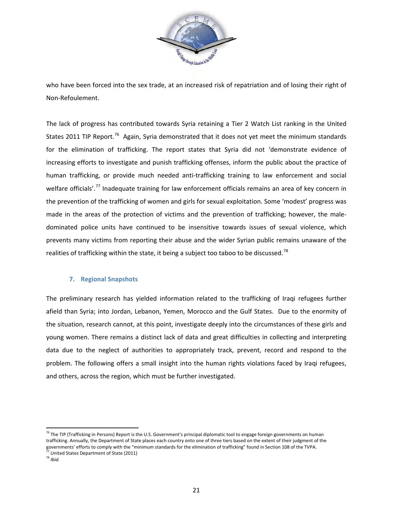

who have been forced into the sex trade, at an increased risk of repatriation and of losing their right of Non-Refoulement.

The lack of progress has contributed towards Syria retaining a Tier 2 Watch List ranking in the United States 2011 TIP Report.<sup>76</sup> Again, Syria demonstrated that it does not yet meet the minimum standards for the elimination of trafficking. The report states that Syria did not 'demonstrate evidence of increasing efforts to investigate and punish trafficking offenses, inform the public about the practice of human trafficking, or provide much needed anti-trafficking training to law enforcement and social welfare officials'.<sup>[77](#page-22-0)</sup> Inadequate training for law enforcement officials remains an area of key concern in the prevention of the trafficking of women and girls for sexual exploitation. Some 'modest' progress was made in the areas of the protection of victims and the prevention of trafficking; however, the maledominated police units have continued to be insensitive towards issues of sexual violence, which prevents many victims from reporting their abuse and the wider Syrian public remains unaware of the realities of trafficking within the state, it being a subject too taboo to be discussed.<sup>[78](#page-22-1)</sup>

# **7. Regional Snapshots**

The preliminary research has yielded information related to the trafficking of Iraqi refugees further afield than Syria; into Jordan, Lebanon, Yemen, Morocco and the Gulf States. Due to the enormity of the situation, research cannot, at this point, investigate deeply into the circumstances of these girls and young women. There remains a distinct lack of data and great difficulties in collecting and interpreting data due to the neglect of authorities to appropriately track, prevent, record and respond to the problem. The following offers a small insight into the human rights violations faced by Iraqi refugees, and others, across the region, which must be further investigated.

<span id="page-22-2"></span> <sup>76</sup> The TIP (Trafficking in Persons) Report is the U.S. Government's principal diplomatic tool to engage foreign governments on human trafficking. Annually, the Department of State places each country onto one of three tiers based on the extent of their judgment of the governments' efforts to comply with the "minimum standards for the elimination of trafficking" found in Section 108 of the TVPA. 77 United State*s* Department of State (2011)

<span id="page-22-1"></span><span id="page-22-0"></span><sup>78</sup> *Ibid.*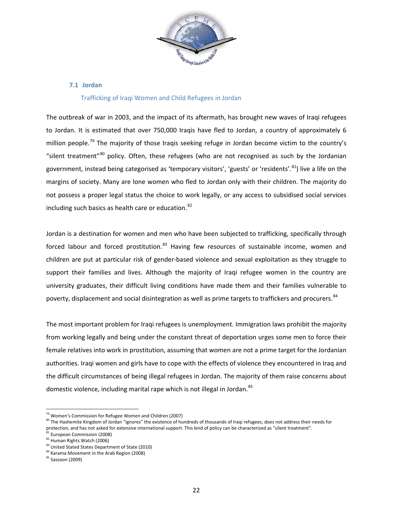

#### **7.1 Jordan**

#### Trafficking of Iraqi Women and Child Refugees in Jordan

The outbreak of war in 2003, and the impact of its aftermath, has brought new waves of Iraqi refugees to Jordan. It is estimated that over 750,000 Iraqis have fled to Jordan, a country of approximately 6 million people.<sup>[79](#page-22-2)</sup> The majority of those Iraqis seeking refuge in Jordan become victim to the country's "silent treatment"<sup>[80](#page-23-0)</sup> policy. Often, these refugees (who are not recognised as such by the Jordanian government, instead being categorised as 'temporary visitors', 'guests' or 'residents'.<sup>81</sup>) live a life on the margins of society. Many are lone women who fled to Jordan only with their children. The majority do not possess a proper legal status the choice to work legally, or any access to subsidised social services including such basics as health care or education.<sup>[82](#page-23-2)</sup>

Jordan is a destination for women and men who have been subjected to trafficking, specifically through forced labour and forced prostitution.<sup>[83](#page-23-3)</sup> Having few resources of sustainable income, women and children are put at particular risk of gender-based violence and sexual exploitation as they struggle to support their families and lives. Although the majority of Iraqi refugee women in the country are university graduates, their difficult living conditions have made them and their families vulnerable to poverty, displacement and social disintegration as well as prime targets to traffickers and procurers.<sup>[84](#page-23-4)</sup>

The most important problem for Iraqi refugees is unemployment. Immigration laws prohibit the majority from working legally and being under the constant threat of deportation urges some men to force their female relatives into work in prostitution, assuming that women are not a prime target for the Jordanian authorities. Iraqi women and girls have to cope with the effects of violence they encountered in Iraq and the difficult circumstances of being illegal refugees in Jordan. The majority of them raise concerns about domestic violence, including marital rape which is not illegal in Jordan.<sup>[85](#page-23-5)</sup>

 <sup>79</sup> Women's Commission for Refugee Women and Children (2007)

<span id="page-23-0"></span><sup>&</sup>lt;sup>80</sup> The Hashemite Kingdom of Jordan "ignores" the existence of hundreds of thousands of Iraqi refugees, does not address their needs for protection, and has not asked for extensive international support. This kind of policy can be characterized as "silent treatment". <sup>81</sup> European Commission (2008)

<span id="page-23-2"></span><span id="page-23-1"></span> $^{82}$  Human Rights Watch (2006)<br> $^{83}$  United Stated States Department of State (2010)

<span id="page-23-4"></span><span id="page-23-3"></span><sup>&</sup>lt;sup>84</sup> Karama Movement in the Arab Region (2008)

<span id="page-23-5"></span><sup>85</sup> Sassoon (2009)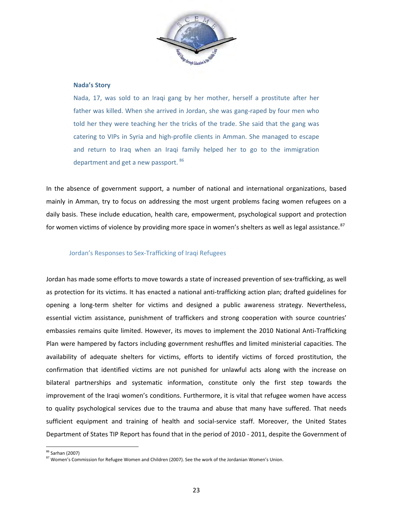

#### **Nada's Story**

Nada, 17, was sold to an Iraqi gang by her mother, herself a prostitute after her father was killed. When she arrived in Jordan, she was gang-raped by four men who told her they were teaching her the tricks of the trade. She said that the gang was catering to VIPs in Syria and high-profile clients in Amman. She managed to escape and return to Iraq when an Iraqi family helped her to go to the immigration department and get a new passport. [86](#page-23-4)

In the absence of government support, a number of national and international organizations, based mainly in Amman, try to focus on addressing the most urgent problems facing women refugees on a daily basis. These include education, health care, empowerment, psychological support and protection for women victims of violence by providing more space in women's shelters as well as legal assistance.  $87$ 

#### Jordan's Responses to Sex-Trafficking of Iraqi Refugees

Jordan has made some efforts to move towards a state of increased prevention of sex-trafficking, as well as protection for its victims. It has enacted a national anti-trafficking action plan; drafted guidelines for opening a long-term shelter for victims and designed a public awareness strategy. Nevertheless, essential victim assistance, punishment of traffickers and strong cooperation with source countries' embassies remains quite limited. However, its moves to implement the 2010 National Anti-Trafficking Plan were hampered by factors including government reshuffles and limited ministerial capacities. The availability of adequate shelters for victims, efforts to identify victims of forced prostitution, the confirmation that identified victims are not punished for unlawful acts along with the increase on bilateral partnerships and systematic information, constitute only the first step towards the improvement of the Iraqi women's conditions. Furthermore, it is vital that refugee women have access to quality psychological services due to the trauma and abuse that many have suffered. That needs sufficient equipment and training of health and social-service staff. Moreover, the United States Department of States TIP Report has found that in the period of 2010 - 2011, despite the Government of

<span id="page-24-1"></span><sup>&</sup>lt;sup>86</sup> Sarhan (2007)

<span id="page-24-0"></span><sup>&</sup>lt;sup>87</sup> Women's Commission for Refugee Women and Children (2007). See the work of the Jordanian Women's Union.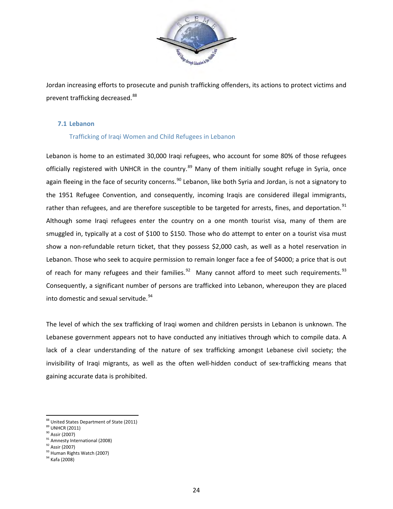

Jordan increasing efforts to prosecute and punish trafficking offenders, its actions to protect victims and prevent trafficking decreased.<sup>[88](#page-24-1)</sup>

# **7.1 Lebanon**

# Trafficking of Iraqi Women and Child Refugees in Lebanon

Lebanon is home to an estimated 30,000 Iraqi refugees, who account for some 80% of those refugees officially registered with UNHCR in the country.<sup>[89](#page-25-0)</sup> Many of them initially sought refuge in Syria, once again fleeing in the face of security concerns.<sup>90</sup> Lebanon, like both Syria and Jordan, is not a signatory to the 1951 Refugee Convention, and consequently, incoming Iraqis are considered illegal immigrants, rather than refugees, and are therefore susceptible to be targeted for arrests, fines, and deportation.<sup>[91](#page-25-2)</sup> Although some Iraqi refugees enter the country on a one month tourist visa, many of them are smuggled in, typically at a cost of \$100 to \$150. Those who do attempt to enter on a tourist visa must show a non-refundable return ticket, that they possess \$2,000 cash, as well as a hotel reservation in Lebanon. Those who seek to acquire permission to remain longer face a fee of \$4000; a price that is out of reach for many refugees and their families. $92$  Many cannot afford to meet such requirements.  $93$ Consequently, a significant number of persons are trafficked into Lebanon, whereupon they are placed into domestic and sexual servitude.<sup>94</sup>

The level of which the sex trafficking of Iraqi women and children persists in Lebanon is unknown. The Lebanese government appears not to have conducted any initiatives through which to compile data. A lack of a clear understanding of the nature of sex trafficking amongst Lebanese civil society; the invisibility of Iraqi migrants, as well as the often well-hidden conduct of sex-trafficking means that gaining accurate data is prohibited.

<span id="page-25-2"></span><span id="page-25-1"></span> $\frac{91}{92}$  Amnesty International (2008)<br> $\frac{92}{92}$  Assir (2007)

 $\frac{1}{2}$ <sup>88</sup> United States Department of State (2011)<br><sup>89</sup> UNHCR (2011)

<span id="page-25-0"></span>

 $^0$  Assir (2007)

<span id="page-25-4"></span><span id="page-25-3"></span>

<sup>93</sup> Human Rights Watch (2007)

<span id="page-25-5"></span><sup>&</sup>lt;sup>94</sup> Kafa (2008)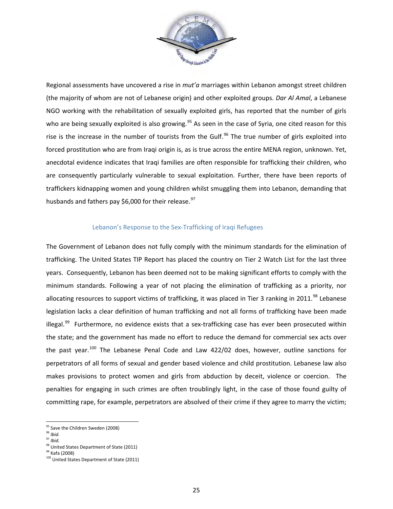

Regional assessments have uncovered a rise in *mut'a* marriages within Lebanon amongst street children (the majority of whom are not of Lebanese origin) and other exploited groups. *Dar Al Amal*, a Lebanese NGO working with the rehabilitation of sexually exploited girls, has reported that the number of girls who are being sexually exploited is also growing.<sup>[95](#page-25-0)</sup> As seen in the case of Syria, one cited reason for this rise is the increase in the number of tourists from the Gulf.<sup>[96](#page-26-0)</sup> The true number of girls exploited into forced prostitution who are from Iraqi origin is, as is true across the entire MENA region, unknown. Yet, anecdotal evidence indicates that Iraqi families are often responsible for trafficking their children, who are consequently particularly vulnerable to sexual exploitation. Further, there have been reports of traffickers kidnapping women and young children whilst smuggling them into Lebanon, demanding that husbands and fathers pay \$6,000 for their release.<sup>[97](#page-26-1)</sup>

# Lebanon's Response to the Sex-Trafficking of Iraqi Refugees

The Government of Lebanon does not fully comply with the minimum standards for the elimination of trafficking. The United States TIP Report has placed the country on Tier 2 Watch List for the last three years. Consequently, Lebanon has been deemed not to be making significant efforts to comply with the minimum standards. Following a year of not placing the elimination of trafficking as a priority, nor allocating resources to support victims of trafficking, it was placed in Tier 3 ranking in 2011.<sup>98</sup> Lebanese legislation lacks a clear definition of human trafficking and not all forms of trafficking have been made illegal. $99$  Furthermore, no evidence exists that a sex-trafficking case has ever been prosecuted within the state; and the government has made no effort to reduce the demand for commercial sex acts over the past year.<sup>[100](#page-26-4)</sup> The Lebanese Penal Code and Law 422/02 does, however, outline sanctions for perpetrators of all forms of sexual and gender based violence and child prostitution. Lebanese law also makes provisions to protect women and girls from abduction by deceit, violence or coercion. The penalties for engaging in such crimes are often troublingly light, in the case of those found guilty of committing rape, for example, perpetrators are absolved of their crime if they agree to marry the victim;

<span id="page-26-0"></span><sup>96</sup> *Ibid.*

<sup>&</sup>lt;sup>95</sup> Save the Children Sweden (2008)

<span id="page-26-1"></span><sup>97</sup> *Ibid.*

<span id="page-26-2"></span> $^{98}$  United States Department of State (2011)<br> $^{99}$  Kafa (2008)

<span id="page-26-4"></span><span id="page-26-3"></span><sup>&</sup>lt;sup>100</sup> United States Department of State (2011)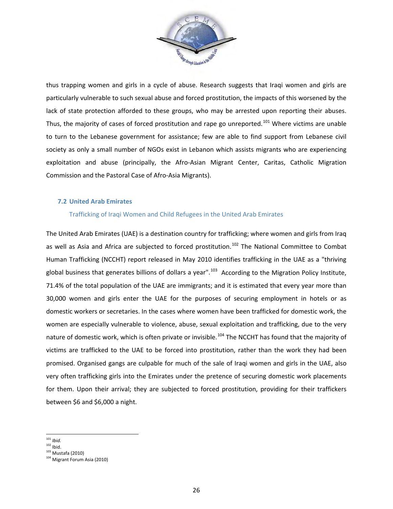

thus trapping women and girls in a cycle of abuse. Research suggests that Iraqi women and girls are particularly vulnerable to such sexual abuse and forced prostitution, the impacts of this worsened by the lack of state protection afforded to these groups, who may be arrested upon reporting their abuses. Thus, the majority of cases of forced prostitution and rape go unreported.<sup>[101](#page-26-1)</sup> Where victims are unable to turn to the Lebanese government for assistance; few are able to find support from Lebanese civil society as only a small number of NGOs exist in Lebanon which assists migrants who are experiencing exploitation and abuse (principally, the Afro-Asian Migrant Center, Caritas, Catholic Migration Commission and the Pastoral Case of Afro-Asia Migrants).

# **7.2 United Arab Emirates**

# Trafficking of Iraqi Women and Child Refugees in the United Arab Emirates

The United Arab Emirates (UAE) is a destination country for trafficking; where women and girls from Iraq as well as Asia and Africa are subjected to forced prostitution.<sup>[102](#page-27-0)</sup> The National Committee to Combat Human Trafficking (NCCHT) report released in May 2010 identifies trafficking in the UAE as a "thriving global business that generates billions of dollars a year".<sup>103</sup> According to the Migration Policy Institute, 71.4% of the total population of the UAE are immigrants; and it is estimated that every year more than 30,000 women and girls enter the UAE for the purposes of securing employment in hotels or as domestic workers or secretaries. In the cases where women have been trafficked for domestic work, the women are especially vulnerable to violence, abuse, sexual exploitation and trafficking, due to the very nature of domestic work, which is often private or invisible.<sup>[104](#page-27-2)</sup> The NCCHT has found that the majority of victims are trafficked to the UAE to be forced into prostitution, rather than the work they had been promised. Organised gangs are culpable for much of the sale of Iraqi women and girls in the UAE, also very often trafficking girls into the Emirates under the pretence of securing domestic work placements for them. Upon their arrival; they are subjected to forced prostitution, providing for their traffickers between \$6 and \$6,000 a night.

- <sup>101</sup> *Ibid.*
- 

<span id="page-27-3"></span><span id="page-27-0"></span> $102$  Ibid.<br> $103$  Mustafa (2010)

<span id="page-27-2"></span><span id="page-27-1"></span><sup>&</sup>lt;sup>104</sup> Migrant Forum Asia (2010)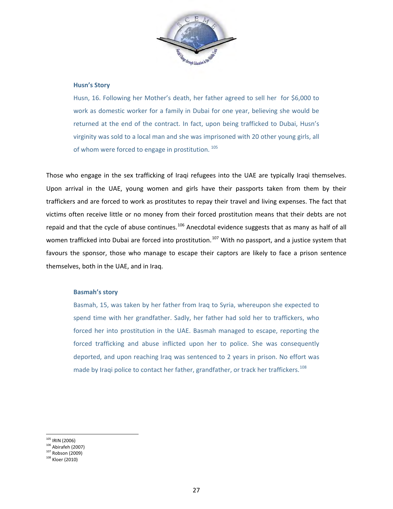

#### **Husn's Story**

Husn, 16. Following her Mother's death, her father agreed to sell her for \$6,000 to work as domestic worker for a family in Dubai for one year, believing she would be returned at the end of the contract. In fact, upon being trafficked to Dubai, Husn's virginity was sold to a local man and she was imprisoned with 20 other young girls, all of whom were forced to engage in prostitution.<sup>105</sup>

Those who engage in the sex trafficking of Iraqi refugees into the UAE are typically Iraqi themselves. Upon arrival in the UAE, young women and girls have their passports taken from them by their traffickers and are forced to work as prostitutes to repay their travel and living expenses. The fact that victims often receive little or no money from their forced prostitution means that their debts are not repaid and that the cycle of abuse continues.<sup>[106](#page-28-0)</sup> Anecdotal evidence suggests that as many as half of all women trafficked into Dubai are forced into prostitution.<sup>[107](#page-28-1)</sup> With no passport, and a justice system that favours the sponsor, those who manage to escape their captors are likely to face a prison sentence themselves, both in the UAE, and in Iraq.

#### **Basmah's story**

Basmah, 15, was taken by her father from Iraq to Syria, whereupon she expected to spend time with her grandfather. Sadly, her father had sold her to traffickers, who forced her into prostitution in the UAE. Basmah managed to escape, reporting the forced trafficking and abuse inflicted upon her to police. She was consequently deported, and upon reaching Iraq was sentenced to 2 years in prison. No effort was made by Iraqi police to contact her father, grandfather, or track her traffickers.<sup>[108](#page-28-2)</sup>

<span id="page-28-3"></span> $105$  IRIN (2006)

<span id="page-28-0"></span> $106 \text{ Abirafeh} (2007)$ <br> $107 \text{ Robson} (2009)$ 

<span id="page-28-2"></span><span id="page-28-1"></span><sup>108</sup> Kloer (2010)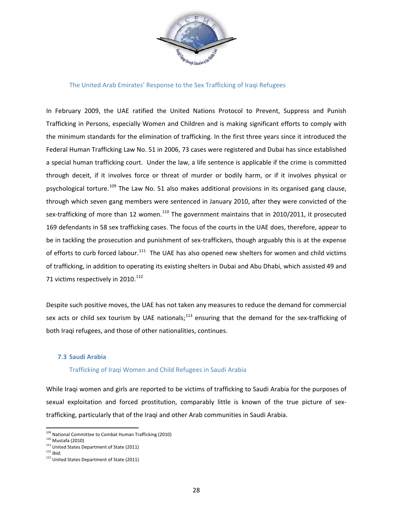

#### The United Arab Emirates' Response to the Sex Trafficking of Iraqi Refugees

In February 2009, the UAE ratified the United Nations Protocol to Prevent, Suppress and Punish Trafficking in Persons, especially Women and Children and is making significant efforts to comply with the minimum standards for the elimination of trafficking. In the first three years since it introduced the Federal Human Trafficking Law No. 51 in 2006, 73 cases were registered and Dubai has since established a special human trafficking court. Under the law, a life sentence is applicable if the crime is committed through deceit, if it involves force or threat of murder or bodily harm, or if it involves physical or psychological torture.<sup>[109](#page-28-3)</sup> The Law No. 51 also makes additional provisions in its organised gang clause, through which seven gang members were sentenced in January 2010, after they were convicted of the sex-trafficking of more than 12 women.<sup>[110](#page-29-0)</sup> The government maintains that in 2010/2011, it prosecuted 169 defendants in 58 sex trafficking cases. The focus of the courts in the UAE does, therefore, appear to be in tackling the prosecution and punishment of sex-traffickers, though arguably this is at the expense of efforts to curb forced labour.<sup>[111](#page-29-1)</sup> The UAE has also opened new shelters for women and child victims of trafficking, in addition to operating its existing shelters in Dubai and Abu Dhabi, which assisted 49 and 71 victims respectively in 2010.<sup>[112](#page-29-2)</sup>

Despite such positive moves, the UAE has not taken any measures to reduce the demand for commercial sex acts or child sex tourism by UAE nationals;<sup>[113](#page-29-3)</sup> ensuring that the demand for the sex-trafficking of both Iraqi refugees, and those of other nationalities, continues.

# **7.3 Saudi Arabia**

#### Trafficking of Iraqi Women and Child Refugees in Saudi Arabia

While Iraqi women and girls are reported to be victims of trafficking to Saudi Arabia for the purposes of sexual exploitation and forced prostitution, comparably little is known of the true picture of sextrafficking, particularly that of the Iraqi and other Arab communities in Saudi Arabia.

<span id="page-29-4"></span><sup>109&</sup>lt;br>109 National Committee to Combat Human Trafficking (2010)

<span id="page-29-0"></span><sup>110</sup> Mustafa (2010)

<span id="page-29-1"></span><sup>&</sup>lt;sup>111</sup> United States Department of State (2011)<br><sup>112</sup> *Ibid.* 

<span id="page-29-3"></span><span id="page-29-2"></span><sup>113</sup> United States Department of State (2011)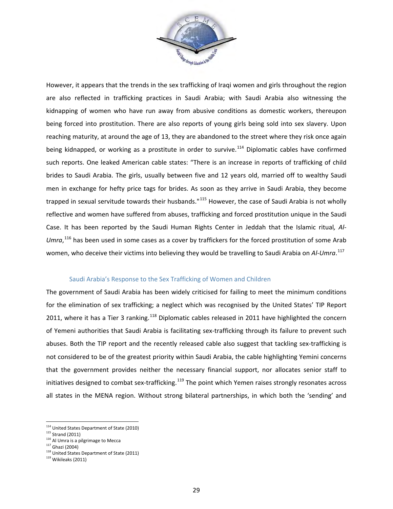

However, it appears that the trends in the sex trafficking of Iraqi women and girls throughout the region are also reflected in trafficking practices in Saudi Arabia; with Saudi Arabia also witnessing the kidnapping of women who have run away from abusive conditions as domestic workers, thereupon being forced into prostitution. There are also reports of young girls being sold into sex slavery. Upon reaching maturity, at around the age of 13, they are abandoned to the street where they risk once again being kidnapped, or working as a prostitute in order to survive.<sup>[114](#page-29-4)</sup> Diplomatic cables have confirmed such reports. One leaked American cable states: "There is an increase in reports of trafficking of child brides to Saudi Arabia. The girls, usually between five and 12 years old, married off to wealthy Saudi men in exchange for hefty price tags for brides. As soon as they arrive in Saudi Arabia, they become trapped in sexual servitude towards their husbands."<sup>[115](#page-30-0)</sup> However, the case of Saudi Arabia is not wholly reflective and women have suffered from abuses, trafficking and forced prostitution unique in the Saudi Case. It has been reported by the Saudi Human Rights Center in Jeddah that the Islamic ritual*, Al-*Umra,<sup>[116](#page-30-1)</sup> has been used in some cases as a cover by traffickers for the forced prostitution of some Arab women, who deceive their victims into believing they would be travelling to Saudi Arabia on *Al-Umra*. [117](#page-30-2) 

#### Saudi Arabia's Response to the Sex Trafficking of Women and Children

The government of Saudi Arabia has been widely criticised for failing to meet the minimum conditions for the elimination of sex trafficking; a neglect which was recognised by the United States' TIP Report 2011, where it has a Tier 3 ranking.<sup>[118](#page-30-3)</sup> Diplomatic cables released in 2011 have highlighted the concern of Yemeni authorities that Saudi Arabia is facilitating sex-trafficking through its failure to prevent such abuses. Both the TIP report and the recently released cable also suggest that tackling sex-trafficking is not considered to be of the greatest priority within Saudi Arabia, the cable highlighting Yemini concerns that the government provides neither the necessary financial support, nor allocates senior staff to initiatives designed to combat sex-trafficking.<sup>[119](#page-30-4)</sup> The point which Yemen raises strongly resonates across all states in the MENA region. Without strong bilateral partnerships, in which both the 'sending' and

 <sup>114</sup> United States Department of State (2010)

<span id="page-30-0"></span><sup>115</sup> Strand (2011)

<span id="page-30-1"></span> $116$  Al Umra is a pilgrimage to Mecca<br> $117$  Ghazi (2004)

<span id="page-30-2"></span><sup>&</sup>lt;sup>118</sup> United States Department of State (2011)

<span id="page-30-4"></span><span id="page-30-3"></span><sup>119</sup> Wikileaks (2011)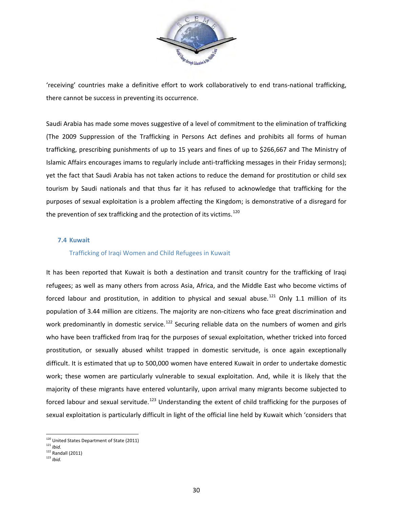

'receiving' countries make a definitive effort to work collaboratively to end trans-national trafficking, there cannot be success in preventing its occurrence.

Saudi Arabia has made some moves suggestive of a level of commitment to the elimination of trafficking (The 2009 Suppression of the Trafficking in Persons Act defines and prohibits all forms of human trafficking, prescribing punishments of up to 15 years and fines of up to \$266,667 and The Ministry of Islamic Affairs encourages imams to regularly include anti-trafficking messages in their Friday sermons); yet the fact that Saudi Arabia has not taken actions to reduce the demand for prostitution or child sex tourism by Saudi nationals and that thus far it has refused to acknowledge that trafficking for the purposes of sexual exploitation is a problem affecting the Kingdom; is demonstrative of a disregard for the prevention of sex trafficking and the protection of its victims.<sup>[120](#page-30-1)</sup>

# **7.4 Kuwait**

#### Trafficking of Iraqi Women and Child Refugees in Kuwait

It has been reported that Kuwait is both a destination and transit country for the trafficking of Iraqi refugees; as well as many others from across Asia, Africa, and the Middle East who become victims of forced labour and prostitution, in addition to physical and sexual abuse.<sup>[121](#page-31-0)</sup> Only 1.1 million of its population of 3.44 million are citizens. The majority are non-citizens who face great discrimination and work predominantly in domestic service.<sup>[122](#page-31-1)</sup> Securing reliable data on the numbers of women and girls who have been trafficked from Iraq for the purposes of sexual exploitation, whether tricked into forced prostitution, or sexually abused whilst trapped in domestic servitude, is once again exceptionally difficult. It is estimated that up to 500,000 women have entered Kuwait in order to undertake domestic work; these women are particularly vulnerable to sexual exploitation. And, while it is likely that the majority of these migrants have entered voluntarily, upon arrival many migrants become subjected to forced labour and sexual servitude.<sup>[123](#page-31-2)</sup> Understanding the extent of child trafficking for the purposes of sexual exploitation is particularly difficult in light of the official line held by Kuwait which 'considers that

 <sup>120</sup> United States Department of State (2011)

<span id="page-31-3"></span><span id="page-31-0"></span><sup>121</sup> *Ibid.*

 $122$  Randall (2011)

<span id="page-31-2"></span><span id="page-31-1"></span><sup>123</sup> *Ibid.*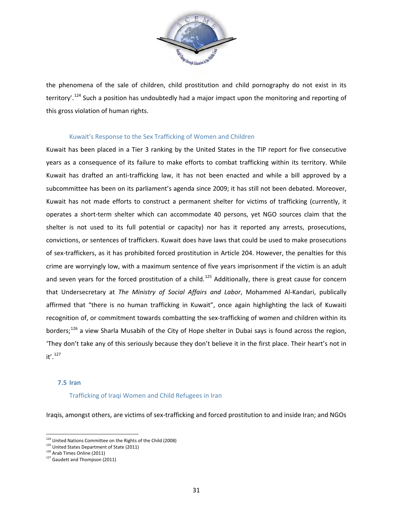

the phenomena of the sale of children, child prostitution and child pornography do not exist in its territory'.<sup>[124](#page-31-3)</sup> Such a position has undoubtedly had a major impact upon the monitoring and reporting of this gross violation of human rights.

# Kuwait's Response to the Sex Trafficking of Women and Children

Kuwait has been placed in a Tier 3 ranking by the United States in the TIP report for five consecutive years as a consequence of its failure to make efforts to combat trafficking within its territory. While Kuwait has drafted an anti-trafficking law, it has not been enacted and while a bill approved by a subcommittee has been on its parliament's agenda since 2009; it has still not been debated. Moreover, Kuwait has not made efforts to construct a permanent shelter for victims of trafficking (currently, it operates a short-term shelter which can accommodate 40 persons, yet NGO sources claim that the shelter is not used to its full potential or capacity) nor has it reported any arrests, prosecutions, convictions, or sentences of traffickers. Kuwait does have laws that could be used to make prosecutions of sex-traffickers, as it has prohibited forced prostitution in Article 204. However, the penalties for this crime are worryingly low, with a maximum sentence of five years imprisonment if the victim is an adult and seven years for the forced prostitution of a child.<sup>[125](#page-32-0)</sup> Additionally, there is great cause for concern that Undersecretary at *The Ministry of Social Affairs and Labor*, Mohammed Al-Kandari, publically affirmed that "there is no human trafficking in Kuwait", once again highlighting the lack of Kuwaiti recognition of, or commitment towards combatting the sex-trafficking of women and children within its borders;<sup>[126](#page-32-1)</sup> a view Sharla Musabih of the City of Hope shelter in Dubai says is found across the region, 'They don't take any of this seriously because they don't believe it in the first place. Their heart's not in  $it'.$ <sup>[127](#page-32-2)</sup>

# **7.5 Iran**

#### Trafficking of Iraqi Women and Child Refugees in Iran

Iraqis, amongst others, are victims of sex-trafficking and forced prostitution to and inside Iran; and NGOs

<span id="page-32-3"></span> $\frac{124}{124}$  United Nations Committee on the Rights of the Child (2008)

<span id="page-32-1"></span><span id="page-32-0"></span> $125$  United States Department of State (2011)<br> $126$  Arab Times Online (2011)

<span id="page-32-2"></span><sup>&</sup>lt;sup>127</sup> Gaudett and Thompson (2011)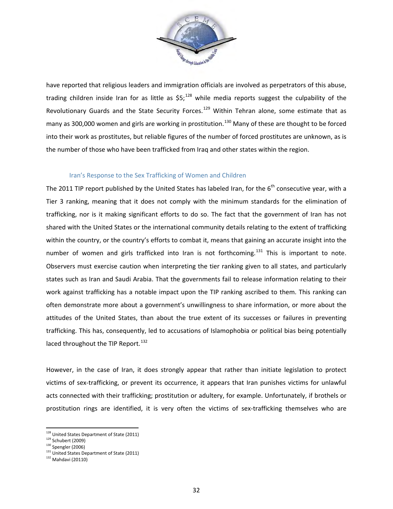

have reported that religious leaders and immigration officials are involved as perpetrators of this abuse, trading children inside Iran for as little as  $$5;^{128}$  $$5;^{128}$  $$5;^{128}$  while media reports suggest the culpability of the Revolutionary Guards and the State Security Forces.<sup>[129](#page-33-0)</sup> Within Tehran alone, some estimate that as many as 300,000 women and girls are working in prostitution.<sup>[130](#page-33-1)</sup> Many of these are thought to be forced into their work as prostitutes, but reliable figures of the number of forced prostitutes are unknown, as is the number of those who have been trafficked from Iraq and other states within the region.

# Iran's Response to the Sex Trafficking of Women and Children

The 2011 TIP report published by the United States has labeled Iran, for the  $6<sup>th</sup>$  consecutive year, with a Tier 3 ranking, meaning that it does not comply with the minimum standards for the elimination of trafficking, nor is it making significant efforts to do so. The fact that the government of Iran has not shared with the United States or the international community details relating to the extent of trafficking within the country, or the country's efforts to combat it, means that gaining an accurate insight into the number of women and girls trafficked into Iran is not forthcoming.<sup>[131](#page-33-2)</sup> This is important to note. Observers must exercise caution when interpreting the tier ranking given to all states, and particularly states such as Iran and Saudi Arabia. That the governments fail to release information relating to their work against trafficking has a notable impact upon the TIP ranking ascribed to them. This ranking can often demonstrate more about a government's unwillingness to share information, or more about the attitudes of the United States, than about the true extent of its successes or failures in preventing trafficking. This has, consequently, led to accusations of Islamophobia or political bias being potentially laced throughout the TIP Report.<sup>132</sup>

However, in the case of Iran, it does strongly appear that rather than initiate legislation to protect victims of sex-trafficking, or prevent its occurrence, it appears that Iran punishes victims for unlawful acts connected with their trafficking; prostitution or adultery, for example. Unfortunately, if brothels or prostitution rings are identified, it is very often the victims of sex-trafficking themselves who are

<sup>&</sup>lt;u>128</u><br>United States Department of State (2011)

<span id="page-33-1"></span><span id="page-33-0"></span> $129$  Schubert (2009)<br> $130$  Spengler (2006)

<span id="page-33-2"></span> $131$  United States Department of State (2011)

<span id="page-33-3"></span><sup>132</sup> Mahdavi (20110)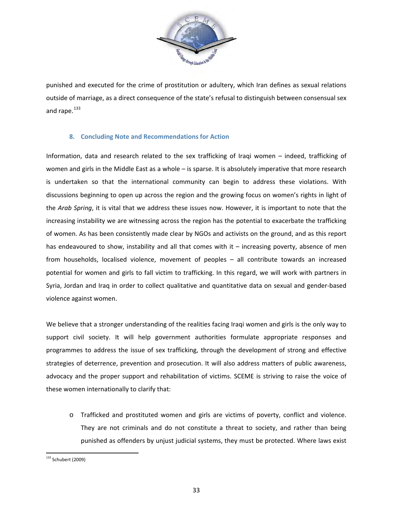

punished and executed for the crime of prostitution or adultery, which Iran defines as sexual relations outside of marriage, as a direct consequence of the state's refusal to distinguish between consensual sex and rape. $^{133}$ 

# **8. Concluding Note and Recommendations for Action**

Information, data and research related to the sex trafficking of Iraqi women – indeed, trafficking of women and girls in the Middle East as a whole – is sparse. It is absolutely imperative that more research is undertaken so that the international community can begin to address these violations. With discussions beginning to open up across the region and the growing focus on women's rights in light of the *Arab Spring*, it is vital that we address these issues now. However, it is important to note that the increasing instability we are witnessing across the region has the potential to exacerbate the trafficking of women. As has been consistently made clear by NGOs and activists on the ground, and as this report has endeavoured to show, instability and all that comes with it – increasing poverty, absence of men from households, localised violence, movement of peoples – all contribute towards an increased potential for women and girls to fall victim to trafficking. In this regard, we will work with partners in Syria, Jordan and Iraq in order to collect qualitative and quantitative data on sexual and gender-based violence against women.

We believe that a stronger understanding of the realities facing Iraqi women and girls is the only way to support civil society. It will help government authorities formulate appropriate responses and programmes to address the issue of sex trafficking, through the development of strong and effective strategies of deterrence, prevention and prosecution. It will also address matters of public awareness, advocacy and the proper support and rehabilitation of victims. SCEME is striving to raise the voice of these women internationally to clarify that:

o Trafficked and prostituted women and girls are victims of poverty, conflict and violence. They are not criminals and do not constitute a threat to society, and rather than being punished as offenders by unjust judicial systems, they must be protected. Where laws exist

<sup>133&</sup>lt;br>133 Schubert (2009)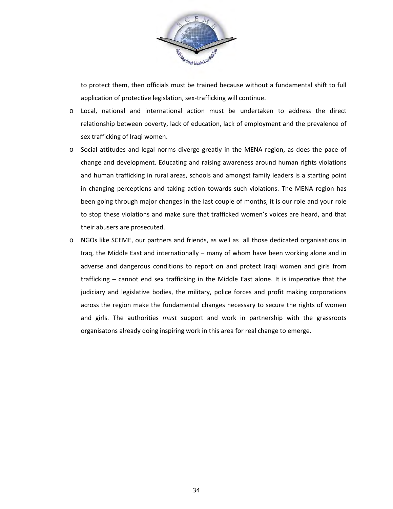

to protect them, then officials must be trained because without a fundamental shift to full application of protective legislation, sex-trafficking will continue.

- o Local, national and international action must be undertaken to address the direct relationship between poverty, lack of education, lack of employment and the prevalence of sex trafficking of Iraqi women.
- o Social attitudes and legal norms diverge greatly in the MENA region, as does the pace of change and development. Educating and raising awareness around human rights violations and human trafficking in rural areas, schools and amongst family leaders is a starting point in changing perceptions and taking action towards such violations. The MENA region has been going through major changes in the last couple of months, it is our role and your role to stop these violations and make sure that trafficked women's voices are heard, and that their abusers are prosecuted.
- o NGOs like SCEME, our partners and friends, as well as all those dedicated organisations in Iraq, the Middle East and internationally – many of whom have been working alone and in adverse and dangerous conditions to report on and protect Iraqi women and girls from trafficking – cannot end sex trafficking in the Middle East alone. It is imperative that the judiciary and legislative bodies, the military, police forces and profit making corporations across the region make the fundamental changes necessary to secure the rights of women and girls. The authorities *must* support and work in partnership with the grassroots organisatons already doing inspiring work in this area for real change to emerge.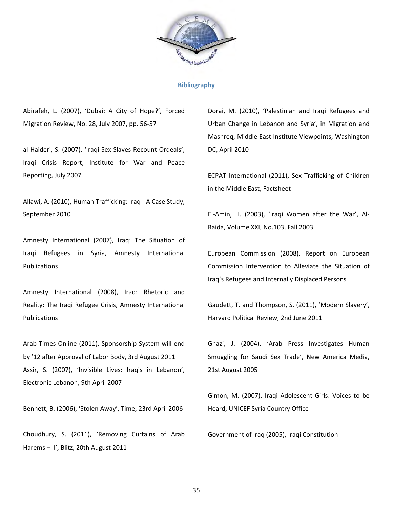

#### **Bibliography**

Abirafeh, L. (2007), 'Dubai: A City of Hope?', Forced Migration Review, No. 28, July 2007, pp. 56-57

al-Haideri, S. (2007), 'Iraqi Sex Slaves Recount Ordeals', Iraqi Crisis Report, Institute for War and Peace Reporting, July 2007

Allawi, A. (2010), Human Trafficking: Iraq - A Case Study, September 2010

Amnesty International (2007), Iraq: The Situation of Iraqi Refugees in Syria, Amnesty International Publications

Amnesty International (2008), Iraq: Rhetoric and Reality: The Iraqi Refugee Crisis, Amnesty International Publications

Arab Times Online (2011), Sponsorship System will end by '12 after Approval of Labor Body, 3rd August 2011 Assir, S. (2007), 'Invisible Lives: Iraqis in Lebanon', Electronic Lebanon, 9th April 2007

Bennett, B. (2006), 'Stolen Away', Time, 23rd April 2006

Choudhury, S. (2011), 'Removing Curtains of Arab Harems – II', Blitz, 20th August 2011

Dorai, M. (2010), 'Palestinian and Iraqi Refugees and Urban Change in Lebanon and Syria', in Migration and Mashreq, Middle East Institute Viewpoints, Washington DC, April 2010

ECPAT International (2011), Sex Trafficking of Children in the Middle East, Factsheet

El-Amin, H. (2003), 'Iraqi Women after the War', Al-Raida, Volume XXI, No.103, Fall 2003

European Commission (2008), Report on European Commission Intervention to Alleviate the Situation of Iraq's Refugees and Internally Displaced Persons

Gaudett, T. and Thompson, S. (2011), 'Modern Slavery', Harvard Political Review, 2nd June 2011

Ghazi, J. (2004), 'Arab Press Investigates Human Smuggling for Saudi Sex Trade', New America Media, 21st August 2005

Gimon, M. (2007), Iraqi Adolescent Girls: Voices to be Heard, UNICEF Syria Country Office

Government of Iraq (2005), Iraqi Constitution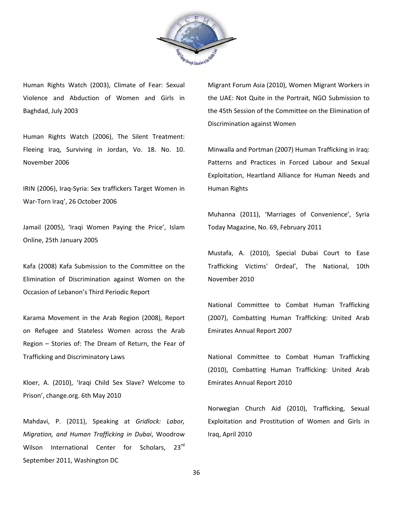

Human Rights Watch (2003), Climate of Fear: Sexual Violence and Abduction of Women and Girls in Baghdad, July 2003

Human Rights Watch (2006), The Silent Treatment: Fleeing Iraq, Surviving in Jordan, Vo. 18. No. 10. November 2006

IRIN (2006), Iraq-Syria: Sex traffickers Target Women in War-Torn Iraq', 26 October 2006

Jamail (2005), 'Iraqi Women Paying the Price', Islam Online, 25th January 2005

Kafa (2008) Kafa Submission to the Committee on the Elimination of Discrimination against Women on the Occasion of Lebanon's Third Periodic Report

Karama Movement in the Arab Region (2008), Report on Refugee and Stateless Women across the Arab Region – Stories of: The Dream of Return, the Fear of Trafficking and Discriminatory Laws

Kloer, A. (2010), 'Iraqi Child Sex Slave? Welcome to Prison', change.org. 6th May 2010

Mahdavi, P. (2011), Speaking at *Gridlock: Labor, Migration, and Human Trafficking in Dubai*, Woodrow Wilson International Center for Scholars, 23rd September 2011, Washington DC

Migrant Forum Asia (2010), Women Migrant Workers in the UAE: Not Quite in the Portrait, NGO Submission to the 45th Session of the Committee on the Elimination of Discrimination against Women

Minwalla and Portman (2007) Human Trafficking in Iraq: Patterns and Practices in Forced Labour and Sexual Exploitation, Heartland Alliance for Human Needs and Human Rights

Muhanna (2011), 'Marriages of Convenience', Syria Today Magazine, No. 69, February 2011

Mustafa, A. (2010), Special Dubai Court to Ease Trafficking Victims' Ordeal', The National, 10th November 2010

National Committee to Combat Human Trafficking (2007), Combatting Human Trafficking: United Arab Emirates Annual Report 2007

National Committee to Combat Human Trafficking (2010), Combatting Human Trafficking: United Arab Emirates Annual Report 2010

Norwegian Church Aid (2010), Trafficking, Sexual Exploitation and Prostitution of Women and Girls in Iraq, April 2010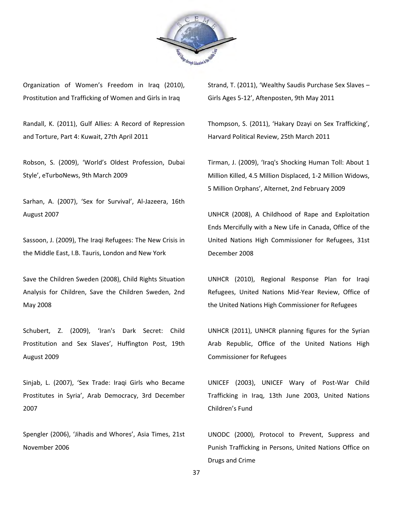

Organization of Women's Freedom in Iraq (2010), Prostitution and Trafficking of Women and Girls in Iraq

Randall, K. (2011), Gulf Allies: A Record of Repression and Torture, Part 4: Kuwait, 27th April 2011

Robson, S. (2009), 'World's Oldest Profession, Dubai Style', eTurboNews, 9th March 2009

Sarhan, A. (2007), 'Sex for Survival', Al-Jazeera, 16th August 2007

Sassoon, J. (2009), The Iraqi Refugees: The New Crisis in the Middle East, I.B. Tauris, London and New York

Save the Children Sweden (2008), Child Rights Situation Analysis for Children, Save the Children Sweden, 2nd May 2008

Schubert, Z. (2009), 'Iran's Dark Secret: Child Prostitution and Sex Slaves', Huffington Post, 19th August 2009

Sinjab, L. (2007), 'Sex Trade: Iraqi Girls who Became Prostitutes in Syria', Arab Democracy, 3rd December 2007

Spengler (2006), 'Jihadis and Whores', Asia Times, 21st November 2006

Strand, T. (2011), 'Wealthy Saudis Purchase Sex Slaves – Girls Ages 5-12', Aftenposten, 9th May 2011

Thompson, S. (2011), 'Hakary Dzayi on Sex Trafficking', Harvard Political Review, 25th March 2011

Tirman, J. (2009), 'Iraq's Shocking Human Toll: About 1 Million Killed, 4.5 Million Displaced, 1-2 Million Widows, 5 Million Orphans', Alternet, 2nd February 2009

UNHCR (2008), A Childhood of Rape and Exploitation Ends Mercifully with a New Life in Canada, Office of the United Nations High Commissioner for Refugees, 31st December 2008

UNHCR (2010), Regional Response Plan for Iraqi Refugees, United Nations Mid-Year Review, Office of the United Nations High Commissioner for Refugees

UNHCR (2011), UNHCR planning figures for the Syrian Arab Republic, Office of the United Nations High Commissioner for Refugees

UNICEF (2003), UNICEF Wary of Post-War Child Trafficking in Iraq, 13th June 2003, United Nations Children's Fund

UNODC (2000), Protocol to Prevent, Suppress and Punish Trafficking in Persons, United Nations Office on Drugs and Crime

37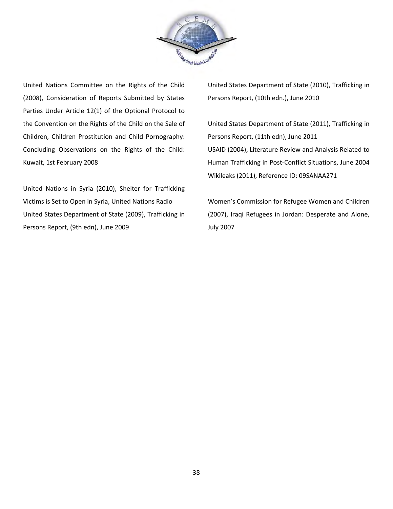

United Nations Committee on the Rights of the Child (2008), Consideration of Reports Submitted by States Parties Under Article 12(1) of the Optional Protocol to the Convention on the Rights of the Child on the Sale of Children, Children Prostitution and Child Pornography: Concluding Observations on the Rights of the Child: Kuwait, 1st February 2008

United Nations in Syria (2010), Shelter for Trafficking Victims is Set to Open in Syria, United Nations Radio United States Department of State (2009), Trafficking in Persons Report, (9th edn), June 2009

United States Department of State (2010), Trafficking in Persons Report, (10th edn.), June 2010

United States Department of State (2011), Trafficking in Persons Report, (11th edn), June 2011 USAID (2004), Literature Review and Analysis Related to Human Trafficking in Post-Conflict Situations, June 2004 Wikileaks (2011), Reference ID: 09SANAA271

Women's Commission for Refugee Women and Children (2007), Iraqi Refugees in Jordan: Desperate and Alone, July 2007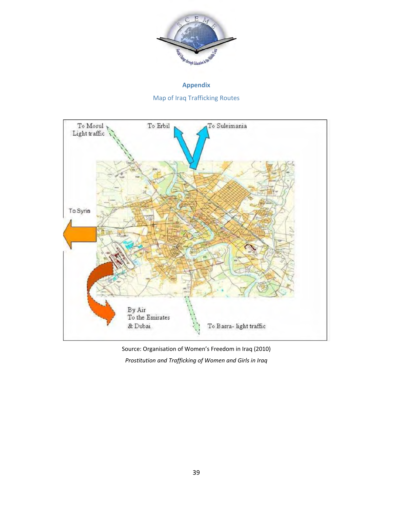

**Appendix** Map of Iraq Trafficking Routes



Source: Organisation of Women's Freedom in Iraq (2010) *Prostitution and Trafficking of Women and Girls in Iraq*